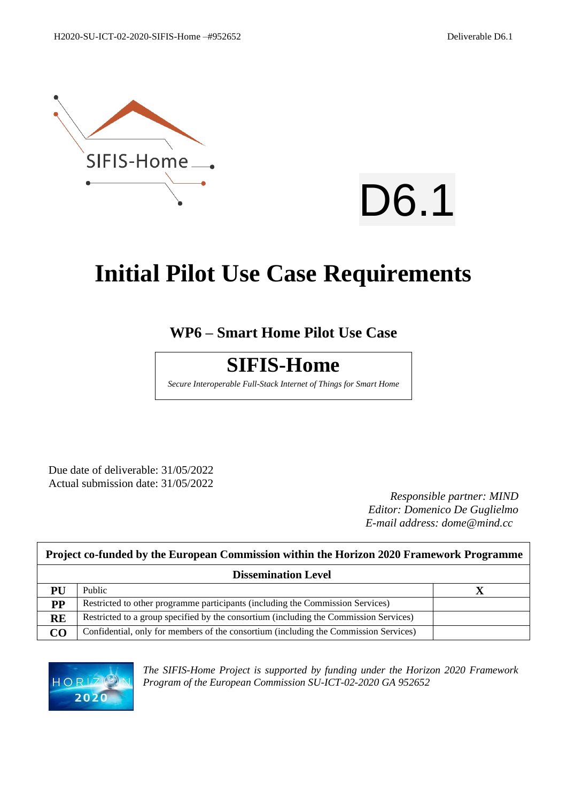



# **Initial Pilot Use Case Requirements**

## **WP6 – Smart Home Pilot Use Case**

## **SIFIS-Home**

*Secure Interoperable Full-Stack Internet of Things for Smart Home*

Due date of deliverable: 31/05/2022 Actual submission date: 31/05/2022

*Responsible partner: MIND Editor: Domenico De Guglielmo E-mail address: dome@mind.cc*

|           | Project co-funded by the European Commission within the Horizon 2020 Framework Programme |  |  |  |  |
|-----------|------------------------------------------------------------------------------------------|--|--|--|--|
|           | <b>Dissemination Level</b>                                                               |  |  |  |  |
| PU        | Public                                                                                   |  |  |  |  |
| $\bf PP$  | Restricted to other programme participants (including the Commission Services)           |  |  |  |  |
| <b>RE</b> | Restricted to a group specified by the consortium (including the Commission Services)    |  |  |  |  |
| CO        | Confidential, only for members of the consortium (including the Commission Services)     |  |  |  |  |



*The SIFIS-Home Project is supported by funding under the Horizon 2020 Framework Program of the European Commission SU-ICT-02-2020 GA 952652*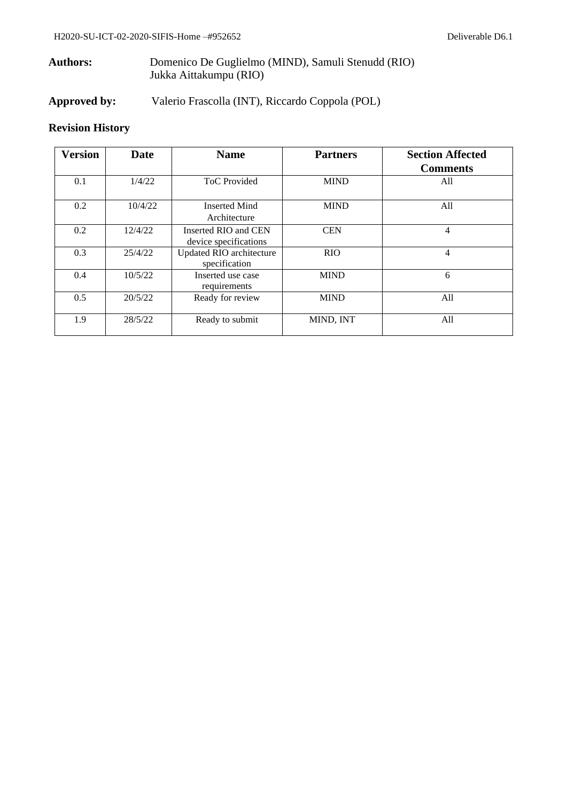## **Authors:** Domenico De Guglielmo (MIND), Samuli Stenudd (RIO) Jukka Aittakumpu (RIO)

**Approved by:** Valerio Frascolla (INT), Riccardo Coppola (POL)

## **Revision History**

| <b>Version</b> | <b>Date</b> | <b>Name</b>                                   | <b>Partners</b> | <b>Section Affected</b><br><b>Comments</b> |
|----------------|-------------|-----------------------------------------------|-----------------|--------------------------------------------|
| 0.1            | 1/4/22      | <b>ToC</b> Provided                           | <b>MIND</b>     | All                                        |
| 0.2            | 10/4/22     | <b>Inserted Mind</b><br>Architecture          | <b>MIND</b>     | All                                        |
| 0.2            | 12/4/22     | Inserted RIO and CEN<br>device specifications | <b>CEN</b>      | 4                                          |
| 0.3            | 25/4/22     | Updated RIO architecture<br>specification     | <b>RIO</b>      | 4                                          |
| 0.4            | 10/5/22     | Inserted use case<br>requirements             | <b>MIND</b>     | 6                                          |
| 0.5            | 20/5/22     | Ready for review                              | <b>MIND</b>     | All                                        |
| 1.9            | 28/5/22     | Ready to submit                               | MIND, INT       | All                                        |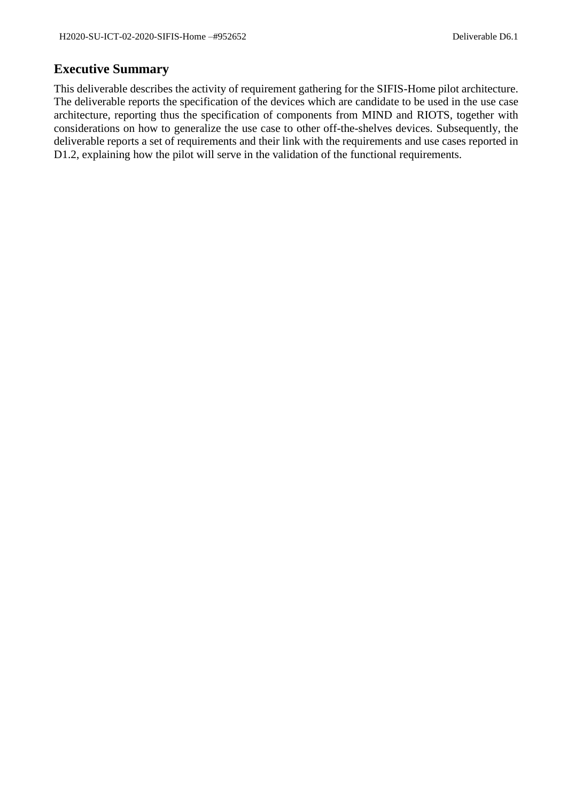## <span id="page-2-0"></span>**Executive Summary**

This deliverable describes the activity of requirement gathering for the SIFIS-Home pilot architecture. The deliverable reports the specification of the devices which are candidate to be used in the use case architecture, reporting thus the specification of components from MIND and RIOTS, together with considerations on how to generalize the use case to other off-the-shelves devices. Subsequently, the deliverable reports a set of requirements and their link with the requirements and use cases reported in D1.2, explaining how the pilot will serve in the validation of the functional requirements.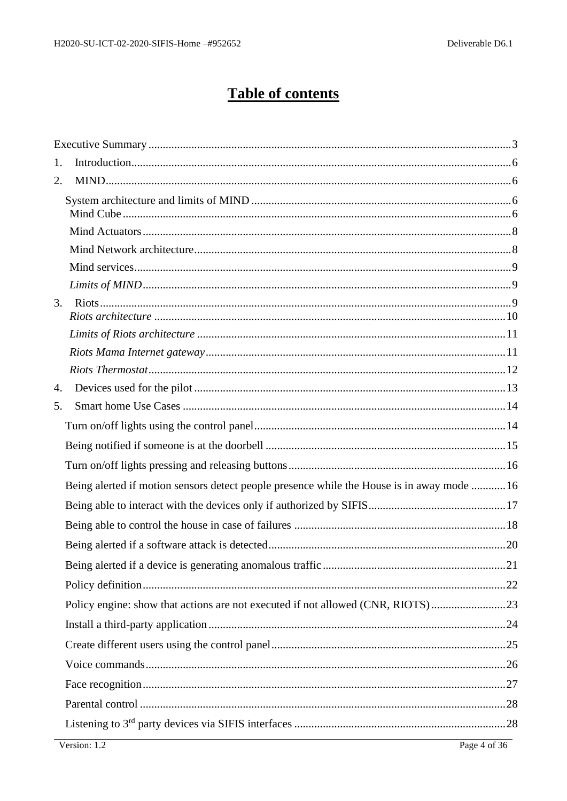## **Table of contents**

| 1. |                                                                                           |  |
|----|-------------------------------------------------------------------------------------------|--|
| 2. |                                                                                           |  |
|    |                                                                                           |  |
|    |                                                                                           |  |
|    |                                                                                           |  |
|    |                                                                                           |  |
|    |                                                                                           |  |
|    |                                                                                           |  |
| 3. |                                                                                           |  |
|    |                                                                                           |  |
|    |                                                                                           |  |
|    |                                                                                           |  |
| 4. |                                                                                           |  |
| 5. |                                                                                           |  |
|    |                                                                                           |  |
|    |                                                                                           |  |
|    |                                                                                           |  |
|    | Being alerted if motion sensors detect people presence while the House is in away mode 16 |  |
|    |                                                                                           |  |
|    |                                                                                           |  |
|    |                                                                                           |  |
|    |                                                                                           |  |
|    |                                                                                           |  |
|    | Policy engine: show that actions are not executed if not allowed (CNR, RIOTS)23           |  |
|    |                                                                                           |  |
|    |                                                                                           |  |
|    |                                                                                           |  |
|    |                                                                                           |  |
|    |                                                                                           |  |
|    |                                                                                           |  |
|    |                                                                                           |  |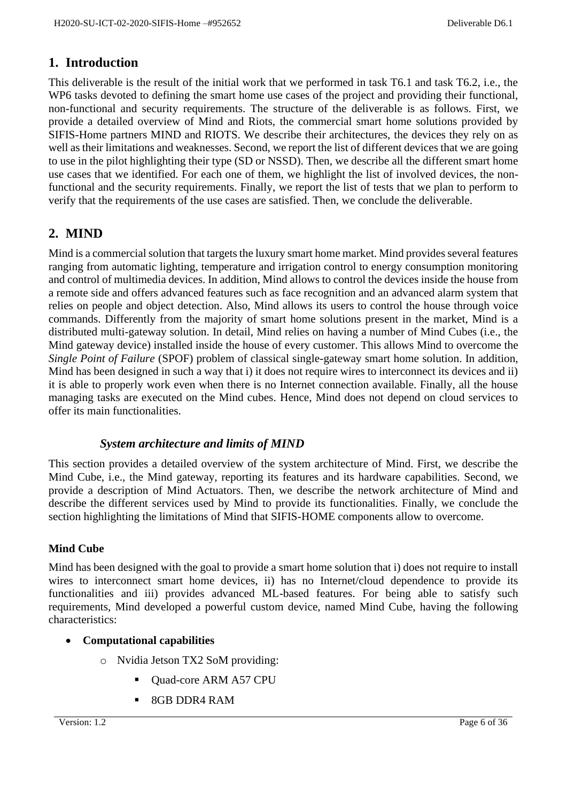## <span id="page-5-0"></span>**1. Introduction**

This deliverable is the result of the initial work that we performed in task T6.1 and task T6.2, i.e., the WP6 tasks devoted to defining the smart home use cases of the project and providing their functional, non-functional and security requirements. The structure of the deliverable is as follows. First, we provide a detailed overview of Mind and Riots, the commercial smart home solutions provided by SIFIS-Home partners MIND and RIOTS. We describe their architectures, the devices they rely on as well as their limitations and weaknesses. Second, we report the list of different devices that we are going to use in the pilot highlighting their type (SD or NSSD). Then, we describe all the different smart home use cases that we identified. For each one of them, we highlight the list of involved devices, the nonfunctional and the security requirements. Finally, we report the list of tests that we plan to perform to verify that the requirements of the use cases are satisfied. Then, we conclude the deliverable.

## <span id="page-5-1"></span>**2. MIND**

Mind is a commercial solution that targets the luxury smart home market. Mind provides several features ranging from automatic lighting, temperature and irrigation control to energy consumption monitoring and control of multimedia devices. In addition, Mind allows to control the devices inside the house from a remote side and offers advanced features such as face recognition and an advanced alarm system that relies on people and object detection. Also, Mind allows its users to control the house through voice commands. Differently from the majority of smart home solutions present in the market, Mind is a distributed multi-gateway solution. In detail, Mind relies on having a number of Mind Cubes (i.e., the Mind gateway device) installed inside the house of every customer. This allows Mind to overcome the *Single Point of Failure* (SPOF) problem of classical single-gateway smart home solution. In addition, Mind has been designed in such a way that i) it does not require wires to interconnect its devices and ii) it is able to properly work even when there is no Internet connection available. Finally, all the house managing tasks are executed on the Mind cubes. Hence, Mind does not depend on cloud services to offer its main functionalities.

## *System architecture and limits of MIND*

<span id="page-5-2"></span>This section provides a detailed overview of the system architecture of Mind. First, we describe the Mind Cube, i.e., the Mind gateway, reporting its features and its hardware capabilities. Second, we provide a description of Mind Actuators. Then, we describe the network architecture of Mind and describe the different services used by Mind to provide its functionalities. Finally, we conclude the section highlighting the limitations of Mind that SIFIS-HOME components allow to overcome.

#### <span id="page-5-3"></span>**Mind Cube**

Mind has been designed with the goal to provide a smart home solution that i) does not require to install wires to interconnect smart home devices, ii) has no Internet/cloud dependence to provide its functionalities and iii) provides advanced ML-based features. For being able to satisfy such requirements, Mind developed a powerful custom device, named Mind Cube, having the following characteristics:

## • **Computational capabilities**

- o Nvidia Jetson TX2 SoM providing:
	- Quad-core ARM A57 CPU
	- 8GB DDR4 RAM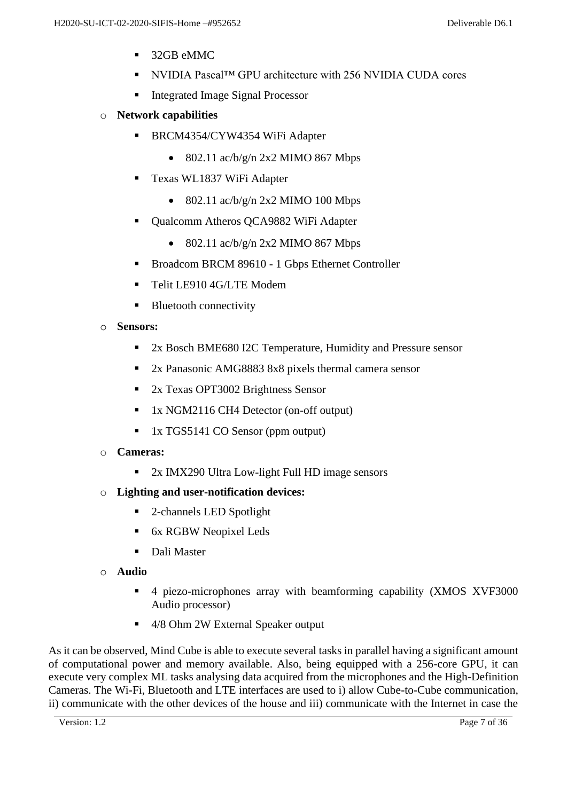- 32GB eMMC
- NVIDIA Pascal™ GPU architecture with 256 NVIDIA CUDA cores
- **Integrated Image Signal Processor**
- o **Network capabilities**
	- BRCM4354/CYW4354 WiFi Adapter
		- 802.11  $\frac{\text{ac}}{\text{b}}\frac{g}{\text{n}}$  2x2 MIMO 867 Mbps
	- Texas WL1837 WiFi Adapter
		- 802.11  $\frac{\text{ac}}{\text{b}}\frac{g}{\text{n}}$  2x2 MIMO 100 Mbps
	- Qualcomm Atheros QCA9882 WiFi Adapter
		- 802.11  $\frac{\text{ac}}{\text{b}}\frac{g}{\text{n}}$  2x2 MIMO 867 Mbps
	- Broadcom BRCM 89610 1 Gbps Ethernet Controller
	- **Telit LE910 4G/LTE Modem**
	- Bluetooth connectivity
- o **Sensors:** 
	- 2x Bosch BME680 I2C Temperature, Humidity and Pressure sensor
	- 2x Panasonic AMG8883 8x8 pixels thermal camera sensor
	- 2x Texas OPT3002 Brightness Sensor
	- 1x NGM2116 CH4 Detector (on-off output)
	- 1x TGS5141 CO Sensor (ppm output)
- o **Cameras:**
	- $2x$  IMX290 Ultra Low-light Full HD image sensors
- o **Lighting and user-notification devices:**
	- 2-channels LED Spotlight
	- 6x RGBW Neopixel Leds
	- Dali Master
- o **Audio**
	- 4 piezo-microphones array with beamforming capability (XMOS XVF3000 Audio processor)
	- 4/8 Ohm 2W External Speaker output

As it can be observed, Mind Cube is able to execute several tasks in parallel having a significant amount of computational power and memory available. Also, being equipped with a 256-core GPU, it can execute very complex ML tasks analysing data acquired from the microphones and the High-Definition Cameras. The Wi-Fi, Bluetooth and LTE interfaces are used to i) allow Cube-to-Cube communication, ii) communicate with the other devices of the house and iii) communicate with the Internet in case the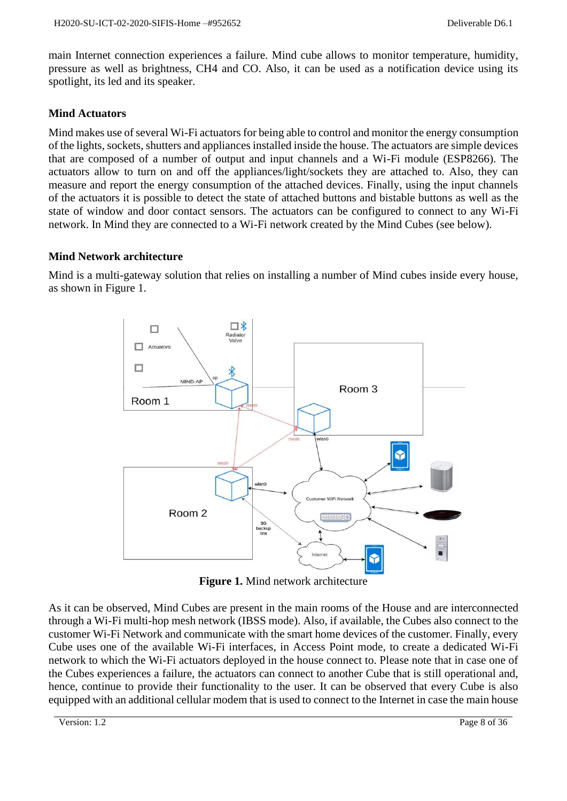main Internet connection experiences a failure. Mind cube allows to monitor temperature, humidity, pressure as well as brightness, CH4 and CO. Also, it can be used as a notification device using its spotlight, its led and its speaker.

#### <span id="page-7-0"></span>**Mind Actuators**

Mind makes use of several Wi-Fi actuators for being able to control and monitor the energy consumption of the lights, sockets, shutters and appliances installed inside the house. The actuators are simple devices that are composed of a number of output and input channels and a Wi-Fi module (ESP8266). The actuators allow to turn on and off the appliances/light/sockets they are attached to. Also, they can measure and report the energy consumption of the attached devices. Finally, using the input channels of the actuators it is possible to detect the state of attached buttons and bistable buttons as well as the state of window and door contact sensors. The actuators can be configured to connect to any Wi-Fi network. In Mind they are connected to a Wi-Fi network created by the Mind Cubes (see below).

#### <span id="page-7-1"></span>**Mind Network architecture**

Mind is a multi-gateway solution that relies on installing a number of Mind cubes inside every house, as shown in Figure 1.



**Figure 1.** Mind network architecture

As it can be observed, Mind Cubes are present in the main rooms of the House and are interconnected through a Wi-Fi multi-hop mesh network (IBSS mode). Also, if available, the Cubes also connect to the customer Wi-Fi Network and communicate with the smart home devices of the customer. Finally, every Cube uses one of the available Wi-Fi interfaces, in Access Point mode, to create a dedicated Wi-Fi network to which the Wi-Fi actuators deployed in the house connect to. Please note that in case one of the Cubes experiences a failure, the actuators can connect to another Cube that is still operational and, hence, continue to provide their functionality to the user. It can be observed that every Cube is also equipped with an additional cellular modem that is used to connect to the Internet in case the main house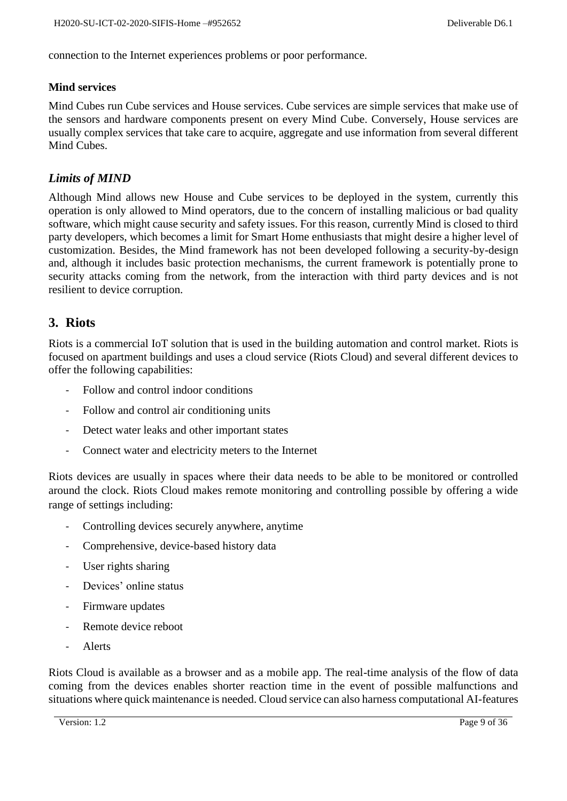connection to the Internet experiences problems or poor performance.

#### <span id="page-8-0"></span>**Mind services**

Mind Cubes run Cube services and House services. Cube services are simple services that make use of the sensors and hardware components present on every Mind Cube. Conversely, House services are usually complex services that take care to acquire, aggregate and use information from several different Mind Cubes.

## <span id="page-8-1"></span>*Limits of MIND*

Although Mind allows new House and Cube services to be deployed in the system, currently this operation is only allowed to Mind operators, due to the concern of installing malicious or bad quality software, which might cause security and safety issues. For this reason, currently Mind is closed to third party developers, which becomes a limit for Smart Home enthusiasts that might desire a higher level of customization. Besides, the Mind framework has not been developed following a security-by-design and, although it includes basic protection mechanisms, the current framework is potentially prone to security attacks coming from the network, from the interaction with third party devices and is not resilient to device corruption.

## <span id="page-8-2"></span>**3. Riots**

Riots is a commercial IoT solution that is used in the building automation and control market. Riots is focused on apartment buildings and uses a cloud service (Riots Cloud) and several different devices to offer the following capabilities:

- Follow and control indoor conditions
- Follow and control air conditioning units
- Detect water leaks and other important states
- Connect water and electricity meters to the Internet

Riots devices are usually in spaces where their data needs to be able to be monitored or controlled around the clock. Riots Cloud makes remote monitoring and controlling possible by offering a wide range of settings including:

- Controlling devices securely anywhere, anytime
- Comprehensive, device-based history data
- User rights sharing
- Devices' online status
- Firmware updates
- Remote device reboot
- **Alerts**

Riots Cloud is available as a browser and as a mobile app. The real-time analysis of the flow of data coming from the devices enables shorter reaction time in the event of possible malfunctions and situations where quick maintenance is needed. Cloud service can also harness computational AI-features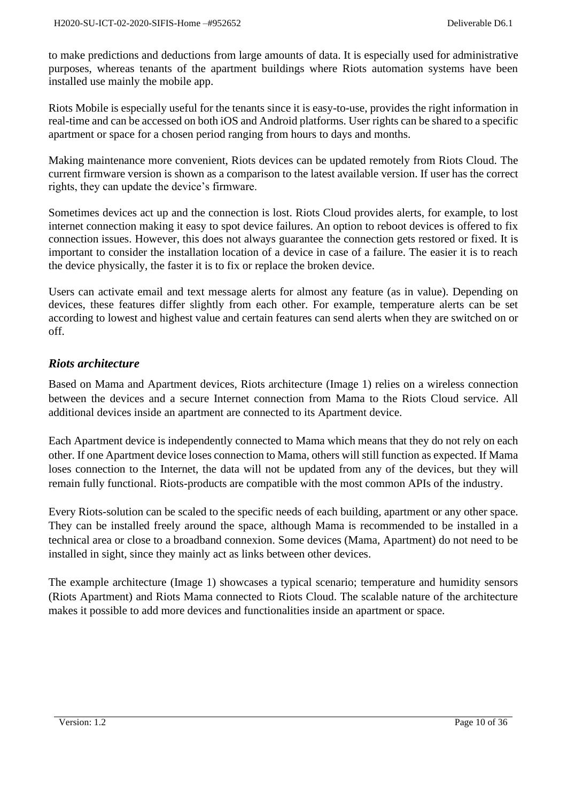to make predictions and deductions from large amounts of data. It is especially used for administrative purposes, whereas tenants of the apartment buildings where Riots automation systems have been installed use mainly the mobile app.

Riots Mobile is especially useful for the tenants since it is easy-to-use, provides the right information in real-time and can be accessed on both iOS and Android platforms. User rights can be shared to a specific apartment or space for a chosen period ranging from hours to days and months.

Making maintenance more convenient, Riots devices can be updated remotely from Riots Cloud. The current firmware version is shown as a comparison to the latest available version. If user has the correct rights, they can update the device's firmware.

Sometimes devices act up and the connection is lost. Riots Cloud provides alerts, for example, to lost internet connection making it easy to spot device failures. An option to reboot devices is offered to fix connection issues. However, this does not always guarantee the connection gets restored or fixed. It is important to consider the installation location of a device in case of a failure. The easier it is to reach the device physically, the faster it is to fix or replace the broken device.

Users can activate email and text message alerts for almost any feature (as in value). Depending on devices, these features differ slightly from each other. For example, temperature alerts can be set according to lowest and highest value and certain features can send alerts when they are switched on or off.

#### <span id="page-9-0"></span>*Riots architecture*

Based on Mama and Apartment devices, Riots architecture (Image 1) relies on a wireless connection between the devices and a secure Internet connection from Mama to the Riots Cloud service. All additional devices inside an apartment are connected to its Apartment device.

Each Apartment device is independently connected to Mama which means that they do not rely on each other. If one Apartment device loses connection to Mama, others will still function as expected. If Mama loses connection to the Internet, the data will not be updated from any of the devices, but they will remain fully functional. Riots-products are compatible with the most common APIs of the industry.

Every Riots-solution can be scaled to the specific needs of each building, apartment or any other space. They can be installed freely around the space, although Mama is recommended to be installed in a technical area or close to a broadband connexion. Some devices (Mama, Apartment) do not need to be installed in sight, since they mainly act as links between other devices.

The example architecture (Image 1) showcases a typical scenario; temperature and humidity sensors (Riots Apartment) and Riots Mama connected to Riots Cloud. The scalable nature of the architecture makes it possible to add more devices and functionalities inside an apartment or space.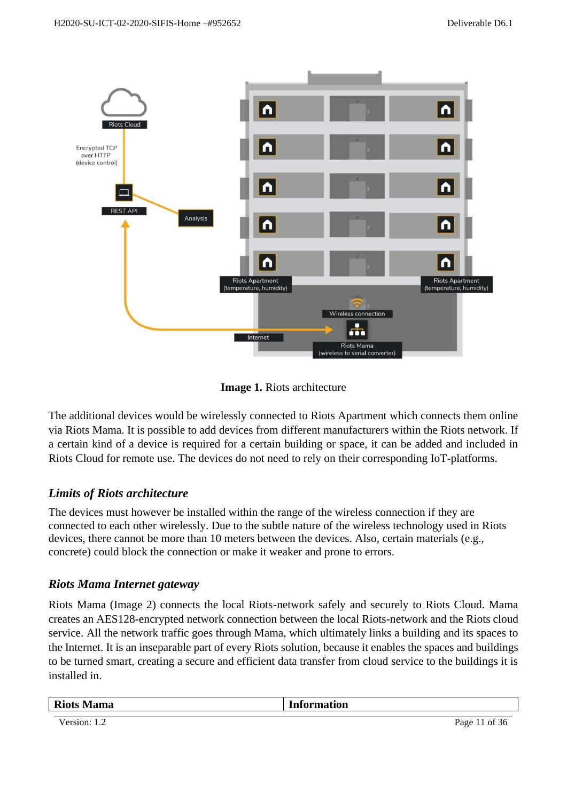

**Image 1.** Riots architecture

The additional devices would be wirelessly connected to Riots Apartment which connects them online via Riots Mama. It is possible to add devices from different manufacturers within the Riots network. If a certain kind of a device is required for a certain building or space, it can be added and included in Riots Cloud for remote use. The devices do not need to rely on their corresponding IoT-platforms.

## <span id="page-10-0"></span>*Limits of Riots architecture*

The devices must however be installed within the range of the wireless connection if they are connected to each other wirelessly. Due to the subtle nature of the wireless technology used in Riots devices, there cannot be more than 10 meters between the devices. Also, certain materials (e.g., concrete) could block the connection or make it weaker and prone to errors.

#### <span id="page-10-1"></span>*Riots Mama Internet gateway*

Riots Mama (Image 2) connects the local Riots-network safely and securely to Riots Cloud. Mama creates an AES128-encrypted network connection between the local Riots-network and the Riots cloud service. All the network traffic goes through Mama, which ultimately links a building and its spaces to the Internet. It is an inseparable part of every Riots solution, because it enables the spaces and buildings to be turned smart, creating a secure and efficient data transfer from cloud service to the buildings it is installed in.

| <b>Riots Mama</b> | <b>Information</b> |
|-------------------|--------------------|
|                   |                    |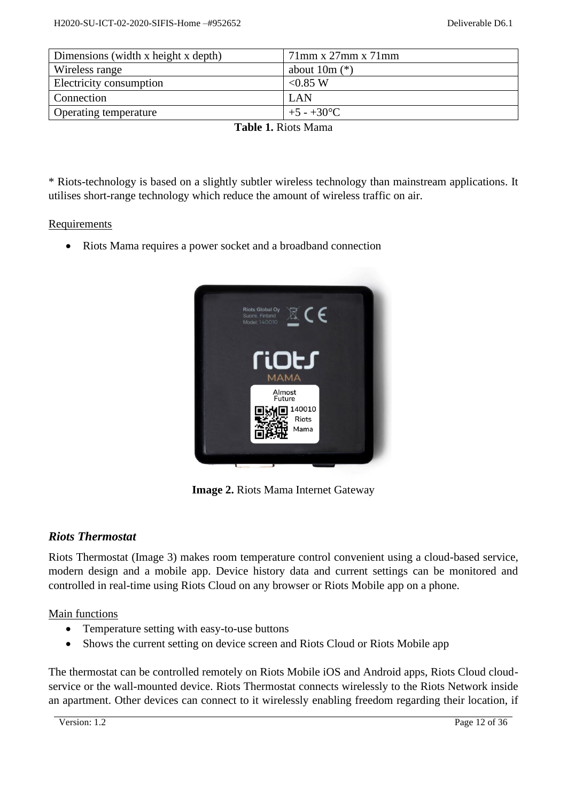| Dimensions (width x height x depth) | $71$ mm x $27$ mm x $71$ mm |  |  |  |
|-------------------------------------|-----------------------------|--|--|--|
| Wireless range                      | about $10m$ $(*)$           |  |  |  |
| Electricity consumption             | < 0.85 W                    |  |  |  |
| Connection                          | LAN                         |  |  |  |
| <b>Operating temperature</b>        | $+5 - +30$ °C               |  |  |  |
| Table 1 Dicts Mama                  |                             |  |  |  |

**Table 1.** Riots Mama

\* Riots-technology is based on a slightly subtler wireless technology than mainstream applications. It utilises short-range technology which reduce the amount of wireless traffic on air.

#### Requirements

• Riots Mama requires a power socket and a broadband connection



**Image 2.** Riots Mama Internet Gateway

#### <span id="page-11-0"></span>*Riots Thermostat*

Riots Thermostat (Image 3) makes room temperature control convenient using a cloud-based service, modern design and a mobile app. Device history data and current settings can be monitored and controlled in real-time using Riots Cloud on any browser or Riots Mobile app on a phone.

Main functions

- Temperature setting with easy-to-use buttons
- Shows the current setting on device screen and Riots Cloud or Riots Mobile app

The thermostat can be controlled remotely on Riots Mobile iOS and Android apps, Riots Cloud cloudservice or the wall-mounted device. Riots Thermostat connects wirelessly to the Riots Network inside an apartment. Other devices can connect to it wirelessly enabling freedom regarding their location, if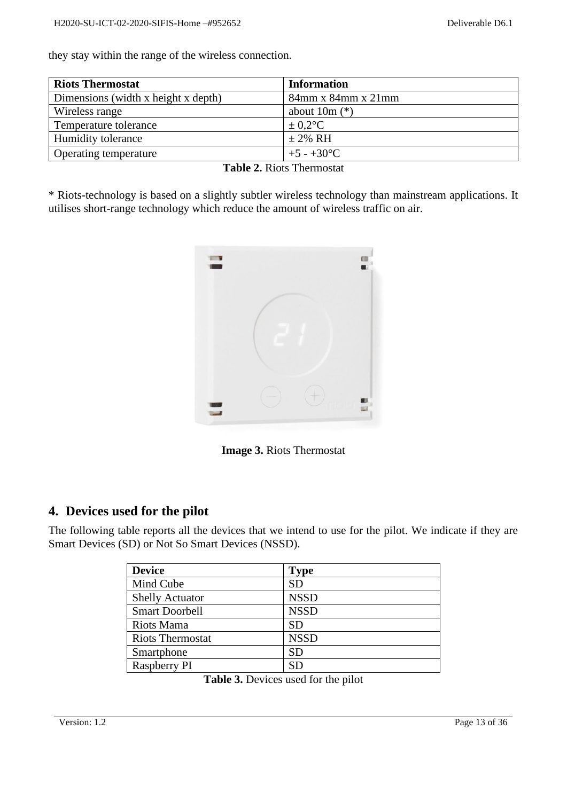they stay within the range of the wireless connection.

| <b>Riots Thermostat</b>             | <b>Information</b>          |
|-------------------------------------|-----------------------------|
| Dimensions (width x height x depth) | $84$ mm x $84$ mm x $21$ mm |
| Wireless range                      | about $10m$ $(*)$           |
| Temperature tolerance               | $\pm 0.2$ °C                |
| Humidity tolerance                  | $\pm$ 2% RH                 |
| Operating temperature               | $+5 - +30$ °C               |

|  | <b>Table 2. Riots Thermostat</b> |
|--|----------------------------------|
|--|----------------------------------|

\* Riots-technology is based on a slightly subtler wireless technology than mainstream applications. It utilises short-range technology which reduce the amount of wireless traffic on air.



**Image 3.** Riots Thermostat

## <span id="page-12-0"></span>**4. Devices used for the pilot**

The following table reports all the devices that we intend to use for the pilot. We indicate if they are Smart Devices (SD) or Not So Smart Devices (NSSD).

| <b>Device</b>           | <b>Type</b> |
|-------------------------|-------------|
| Mind Cube               | <b>SD</b>   |
| <b>Shelly Actuator</b>  | <b>NSSD</b> |
| <b>Smart Doorbell</b>   | <b>NSSD</b> |
| Riots Mama              | SD          |
| <b>Riots Thermostat</b> | <b>NSSD</b> |
| Smartphone              | SD          |
| Raspberry PI            | SD          |

**Table 3.** Devices used for the pilot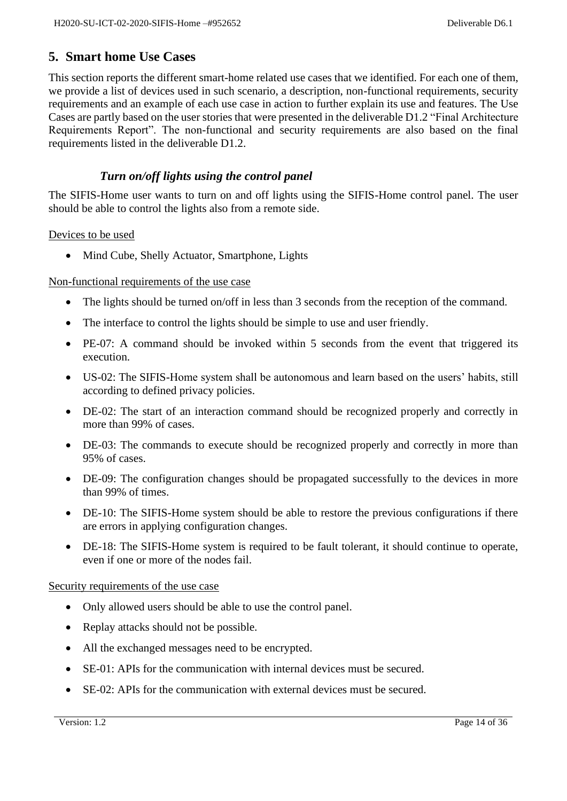## <span id="page-13-0"></span>**5. Smart home Use Cases**

This section reports the different smart-home related use cases that we identified. For each one of them, we provide a list of devices used in such scenario, a description, non-functional requirements, security requirements and an example of each use case in action to further explain its use and features. The Use Cases are partly based on the user stories that were presented in the deliverable D1.2 "Final Architecture Requirements Report". The non-functional and security requirements are also based on the final requirements listed in the deliverable D1.2.

## *Turn on/off lights using the control panel*

<span id="page-13-1"></span>The SIFIS-Home user wants to turn on and off lights using the SIFIS-Home control panel. The user should be able to control the lights also from a remote side.

#### Devices to be used

• Mind Cube, Shelly Actuator, Smartphone, Lights

#### Non-functional requirements of the use case

- The lights should be turned on/off in less than 3 seconds from the reception of the command.
- The interface to control the lights should be simple to use and user friendly.
- PE-07: A command should be invoked within 5 seconds from the event that triggered its execution.
- US-02: The SIFIS-Home system shall be autonomous and learn based on the users' habits, still according to defined privacy policies.
- DE-02: The start of an interaction command should be recognized properly and correctly in more than 99% of cases.
- DE-03: The commands to execute should be recognized properly and correctly in more than 95% of cases.
- DE-09: The configuration changes should be propagated successfully to the devices in more than 99% of times.
- DE-10: The SIFIS-Home system should be able to restore the previous configurations if there are errors in applying configuration changes.
- DE-18: The SIFIS-Home system is required to be fault tolerant, it should continue to operate, even if one or more of the nodes fail.

#### Security requirements of the use case

- Only allowed users should be able to use the control panel.
- Replay attacks should not be possible.
- All the exchanged messages need to be encrypted.
- SE-01: APIs for the communication with internal devices must be secured.
- SE-02: APIs for the communication with external devices must be secured.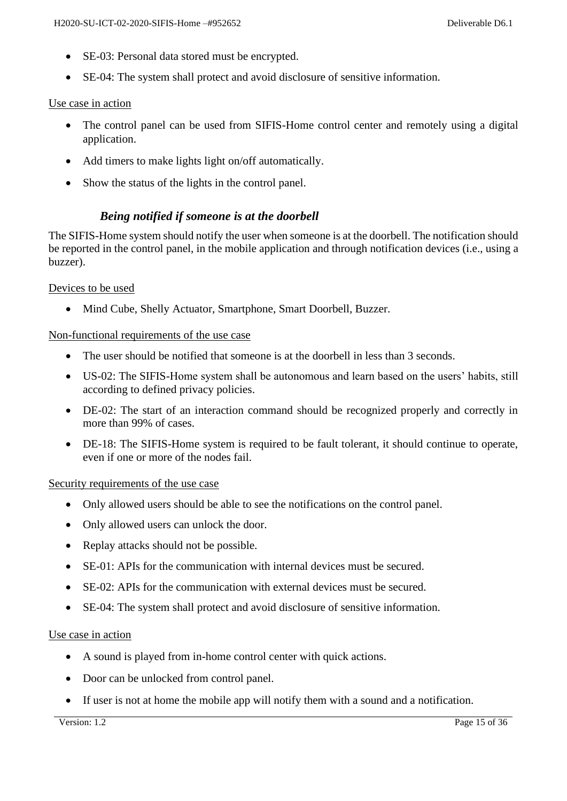- SE-03: Personal data stored must be encrypted.
- SE-04: The system shall protect and avoid disclosure of sensitive information.

#### Use case in action

- The control panel can be used from SIFIS-Home control center and remotely using a digital application.
- Add timers to make lights light on/off automatically.
- Show the status of the lights in the control panel.

## *Being notified if someone is at the doorbell*

<span id="page-14-0"></span>The SIFIS-Home system should notify the user when someone is at the doorbell. The notification should be reported in the control panel, in the mobile application and through notification devices (i.e., using a buzzer).

#### Devices to be used

• Mind Cube, Shelly Actuator, Smartphone, Smart Doorbell, Buzzer.

#### Non-functional requirements of the use case

- The user should be notified that someone is at the doorbell in less than 3 seconds.
- US-02: The SIFIS-Home system shall be autonomous and learn based on the users' habits, still according to defined privacy policies.
- DE-02: The start of an interaction command should be recognized properly and correctly in more than 99% of cases.
- DE-18: The SIFIS-Home system is required to be fault tolerant, it should continue to operate, even if one or more of the nodes fail.

#### Security requirements of the use case

- Only allowed users should be able to see the notifications on the control panel.
- Only allowed users can unlock the door.
- Replay attacks should not be possible.
- SE-01: APIs for the communication with internal devices must be secured.
- SE-02: APIs for the communication with external devices must be secured.
- SE-04: The system shall protect and avoid disclosure of sensitive information.

#### Use case in action

- A sound is played from in-home control center with quick actions.
- Door can be unlocked from control panel.
- If user is not at home the mobile app will notify them with a sound and a notification.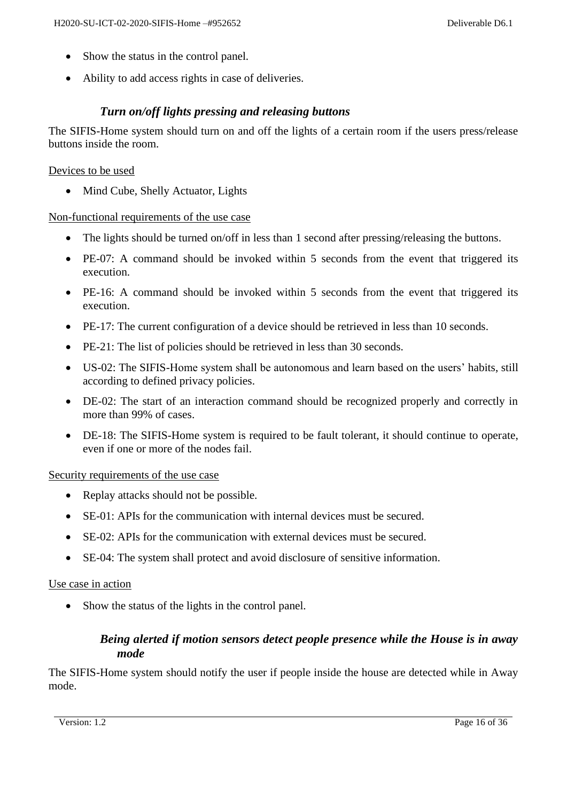- Show the status in the control panel.
- Ability to add access rights in case of deliveries.

### *Turn on/off lights pressing and releasing buttons*

<span id="page-15-0"></span>The SIFIS-Home system should turn on and off the lights of a certain room if the users press/release buttons inside the room.

#### Devices to be used

• Mind Cube, Shelly Actuator, Lights

#### Non-functional requirements of the use case

- The lights should be turned on/off in less than 1 second after pressing/releasing the buttons.
- PE-07: A command should be invoked within 5 seconds from the event that triggered its execution.
- PE-16: A command should be invoked within 5 seconds from the event that triggered its execution.
- PE-17: The current configuration of a device should be retrieved in less than 10 seconds.
- PE-21: The list of policies should be retrieved in less than 30 seconds.
- US-02: The SIFIS-Home system shall be autonomous and learn based on the users' habits, still according to defined privacy policies.
- DE-02: The start of an interaction command should be recognized properly and correctly in more than 99% of cases.
- DE-18: The SIFIS-Home system is required to be fault tolerant, it should continue to operate, even if one or more of the nodes fail.

#### Security requirements of the use case

- Replay attacks should not be possible.
- SE-01: APIs for the communication with internal devices must be secured.
- SE-02: APIs for the communication with external devices must be secured.
- SE-04: The system shall protect and avoid disclosure of sensitive information.

#### Use case in action

<span id="page-15-1"></span>• Show the status of the lights in the control panel.

## *Being alerted if motion sensors detect people presence while the House is in away mode*

The SIFIS-Home system should notify the user if people inside the house are detected while in Away mode.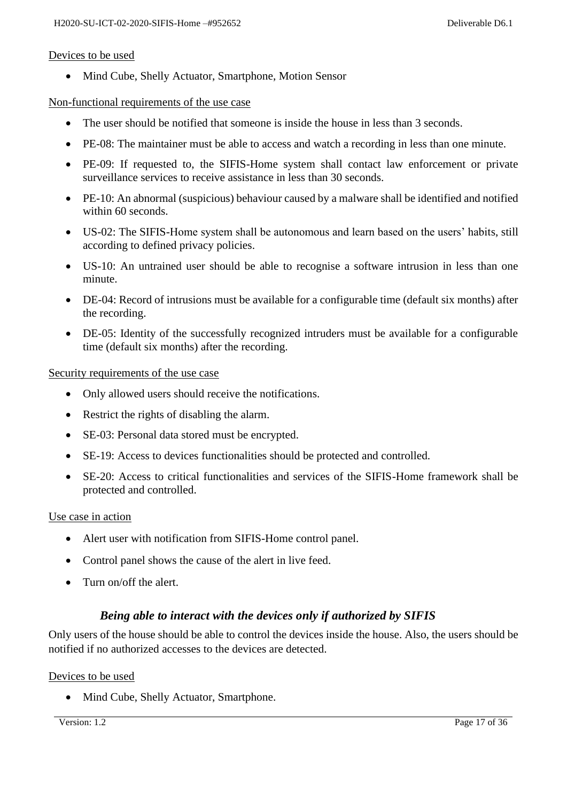#### Devices to be used

• Mind Cube, Shelly Actuator, Smartphone, Motion Sensor

#### Non-functional requirements of the use case

- The user should be notified that someone is inside the house in less than 3 seconds.
- PE-08: The maintainer must be able to access and watch a recording in less than one minute.
- PE-09: If requested to, the SIFIS-Home system shall contact law enforcement or private surveillance services to receive assistance in less than 30 seconds.
- PE-10: An abnormal (suspicious) behaviour caused by a malware shall be identified and notified within 60 seconds.
- US-02: The SIFIS-Home system shall be autonomous and learn based on the users' habits, still according to defined privacy policies.
- US-10: An untrained user should be able to recognise a software intrusion in less than one minute.
- DE-04: Record of intrusions must be available for a configurable time (default six months) after the recording.
- DE-05: Identity of the successfully recognized intruders must be available for a configurable time (default six months) after the recording.

Security requirements of the use case

- Only allowed users should receive the notifications.
- Restrict the rights of disabling the alarm.
- SE-03: Personal data stored must be encrypted.
- SE-19: Access to devices functionalities should be protected and controlled.
- SE-20: Access to critical functionalities and services of the SIFIS-Home framework shall be protected and controlled.

#### Use case in action

- Alert user with notification from SIFIS-Home control panel.
- Control panel shows the cause of the alert in live feed.
- Turn on/off the alert.

#### *Being able to interact with the devices only if authorized by SIFIS*

<span id="page-16-0"></span>Only users of the house should be able to control the devices inside the house. Also, the users should be notified if no authorized accesses to the devices are detected.

#### Devices to be used

• Mind Cube, Shelly Actuator, Smartphone.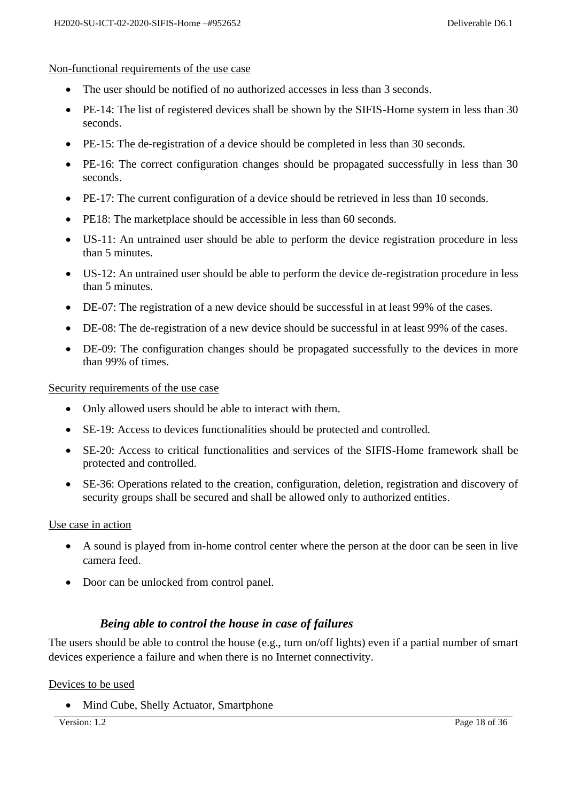#### Non-functional requirements of the use case

- The user should be notified of no authorized accesses in less than 3 seconds.
- PE-14: The list of registered devices shall be shown by the SIFIS-Home system in less than 30 seconds.
- PE-15: The de-registration of a device should be completed in less than 30 seconds.
- PE-16: The correct configuration changes should be propagated successfully in less than 30 seconds.
- PE-17: The current configuration of a device should be retrieved in less than 10 seconds.
- PE18: The marketplace should be accessible in less than 60 seconds.
- US-11: An untrained user should be able to perform the device registration procedure in less than 5 minutes.
- US-12: An untrained user should be able to perform the device de-registration procedure in less than 5 minutes.
- DE-07: The registration of a new device should be successful in at least 99% of the cases.
- DE-08: The de-registration of a new device should be successful in at least 99% of the cases.
- DE-09: The configuration changes should be propagated successfully to the devices in more than 99% of times.

Security requirements of the use case

- Only allowed users should be able to interact with them.
- SE-19: Access to devices functionalities should be protected and controlled.
- SE-20: Access to critical functionalities and services of the SIFIS-Home framework shall be protected and controlled.
- SE-36: Operations related to the creation, configuration, deletion, registration and discovery of security groups shall be secured and shall be allowed only to authorized entities.

#### Use case in action

- A sound is played from in-home control center where the person at the door can be seen in live camera feed.
- Door can be unlocked from control panel.

#### *Being able to control the house in case of failures*

<span id="page-17-0"></span>The users should be able to control the house (e.g., turn on/off lights) even if a partial number of smart devices experience a failure and when there is no Internet connectivity.

#### Devices to be used

• Mind Cube, Shelly Actuator, Smartphone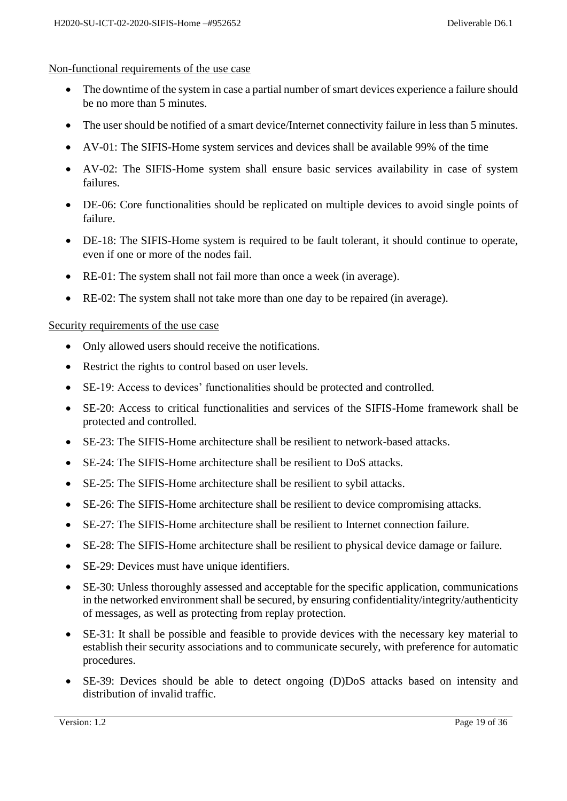#### Non-functional requirements of the use case

- The downtime of the system in case a partial number of smart devices experience a failure should be no more than 5 minutes.
- The user should be notified of a smart device/Internet connectivity failure in less than 5 minutes.
- AV-01: The SIFIS-Home system services and devices shall be available 99% of the time
- AV-02: The SIFIS-Home system shall ensure basic services availability in case of system failures.
- DE-06: Core functionalities should be replicated on multiple devices to avoid single points of failure.
- DE-18: The SIFIS-Home system is required to be fault tolerant, it should continue to operate, even if one or more of the nodes fail.
- RE-01: The system shall not fail more than once a week (in average).
- RE-02: The system shall not take more than one day to be repaired (in average).

#### Security requirements of the use case

- Only allowed users should receive the notifications.
- Restrict the rights to control based on user levels.
- SE-19: Access to devices' functionalities should be protected and controlled.
- SE-20: Access to critical functionalities and services of the SIFIS-Home framework shall be protected and controlled.
- SE-23: The SIFIS-Home architecture shall be resilient to network-based attacks.
- SE-24: The SIFIS-Home architecture shall be resilient to DoS attacks.
- SE-25: The SIFIS-Home architecture shall be resilient to sybil attacks.
- SE-26: The SIFIS-Home architecture shall be resilient to device compromising attacks.
- SE-27: The SIFIS-Home architecture shall be resilient to Internet connection failure.
- SE-28: The SIFIS-Home architecture shall be resilient to physical device damage or failure.
- SE-29: Devices must have unique identifiers.
- SE-30: Unless thoroughly assessed and acceptable for the specific application, communications in the networked environment shall be secured, by ensuring confidentiality/integrity/authenticity of messages, as well as protecting from replay protection.
- SE-31: It shall be possible and feasible to provide devices with the necessary key material to establish their security associations and to communicate securely, with preference for automatic procedures.
- SE-39: Devices should be able to detect ongoing (D)DoS attacks based on intensity and distribution of invalid traffic.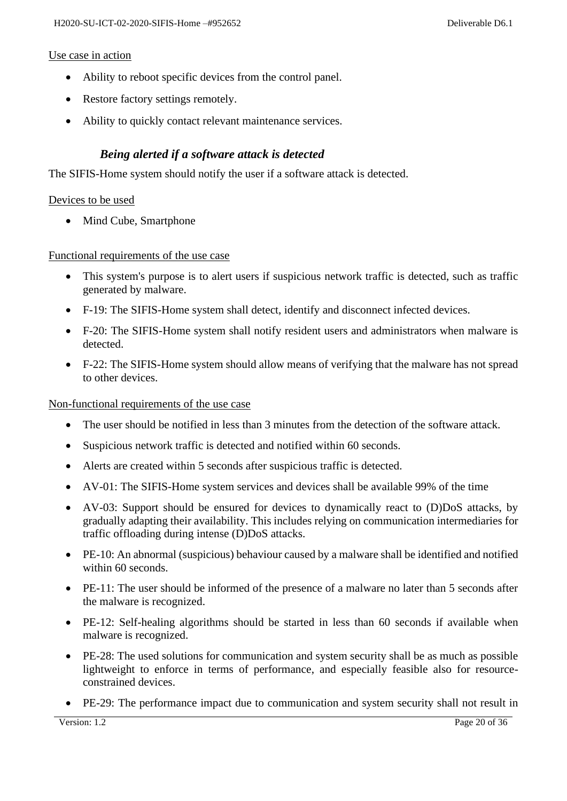#### Use case in action

- Ability to reboot specific devices from the control panel.
- Restore factory settings remotely.
- Ability to quickly contact relevant maintenance services.

#### *Being alerted if a software attack is detected*

<span id="page-19-0"></span>The SIFIS-Home system should notify the user if a software attack is detected.

#### Devices to be used

• Mind Cube, Smartphone

Functional requirements of the use case

- This system's purpose is to alert users if suspicious network traffic is detected, such as traffic generated by malware.
- F-19: The SIFIS-Home system shall detect, identify and disconnect infected devices.
- F-20: The SIFIS-Home system shall notify resident users and administrators when malware is detected.
- F-22: The SIFIS-Home system should allow means of verifying that the malware has not spread to other devices.

Non-functional requirements of the use case

- The user should be notified in less than 3 minutes from the detection of the software attack.
- Suspicious network traffic is detected and notified within 60 seconds.
- Alerts are created within 5 seconds after suspicious traffic is detected.
- AV-01: The SIFIS-Home system services and devices shall be available 99% of the time
- AV-03: Support should be ensured for devices to dynamically react to (D)DoS attacks, by gradually adapting their availability. This includes relying on communication intermediaries for traffic offloading during intense (D)DoS attacks.
- PE-10: An abnormal (suspicious) behaviour caused by a malware shall be identified and notified within 60 seconds.
- PE-11: The user should be informed of the presence of a malware no later than 5 seconds after the malware is recognized.
- PE-12: Self-healing algorithms should be started in less than 60 seconds if available when malware is recognized.
- PE-28: The used solutions for communication and system security shall be as much as possible lightweight to enforce in terms of performance, and especially feasible also for resourceconstrained devices.
- PE-29: The performance impact due to communication and system security shall not result in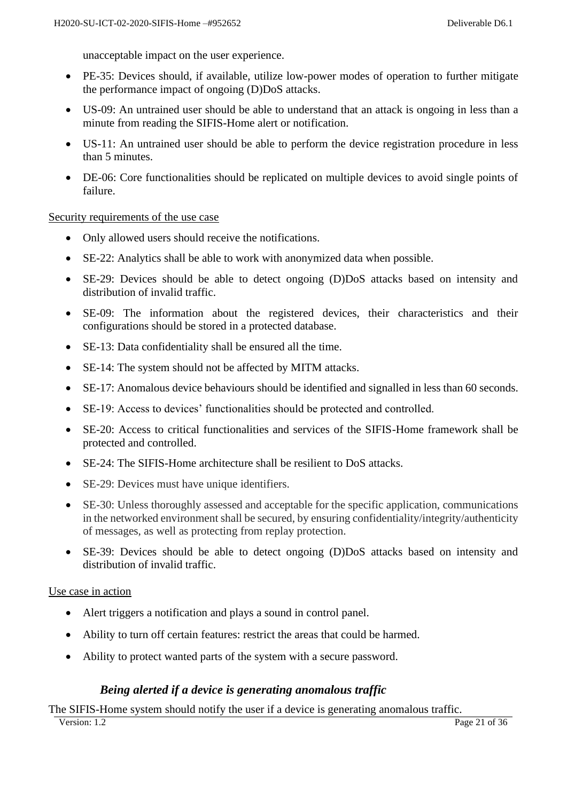unacceptable impact on the user experience.

- PE-35: Devices should, if available, utilize low-power modes of operation to further mitigate the performance impact of ongoing (D)DoS attacks.
- US-09: An untrained user should be able to understand that an attack is ongoing in less than a minute from reading the SIFIS-Home alert or notification.
- US-11: An untrained user should be able to perform the device registration procedure in less than 5 minutes.
- DE-06: Core functionalities should be replicated on multiple devices to avoid single points of failure.

Security requirements of the use case

- Only allowed users should receive the notifications.
- SE-22: Analytics shall be able to work with anonymized data when possible.
- SE-29: Devices should be able to detect ongoing (D)DoS attacks based on intensity and distribution of invalid traffic.
- SE-09: The information about the registered devices, their characteristics and their configurations should be stored in a protected database.
- SE-13: Data confidentiality shall be ensured all the time.
- SE-14: The system should not be affected by MITM attacks.
- SE-17: Anomalous device behaviours should be identified and signalled in less than 60 seconds.
- SE-19: Access to devices' functionalities should be protected and controlled.
- SE-20: Access to critical functionalities and services of the SIFIS-Home framework shall be protected and controlled.
- SE-24: The SIFIS-Home architecture shall be resilient to DoS attacks.
- SE-29: Devices must have unique identifiers.
- SE-30: Unless thoroughly assessed and acceptable for the specific application, communications in the networked environment shall be secured, by ensuring confidentiality/integrity/authenticity of messages, as well as protecting from replay protection.
- SE-39: Devices should be able to detect ongoing (D)DoS attacks based on intensity and distribution of invalid traffic.

#### Use case in action

- Alert triggers a notification and plays a sound in control panel.
- Ability to turn off certain features: restrict the areas that could be harmed.
- Ability to protect wanted parts of the system with a secure password.

#### *Being alerted if a device is generating anomalous traffic*

<span id="page-20-0"></span>The SIFIS-Home system should notify the user if a device is generating anomalous traffic.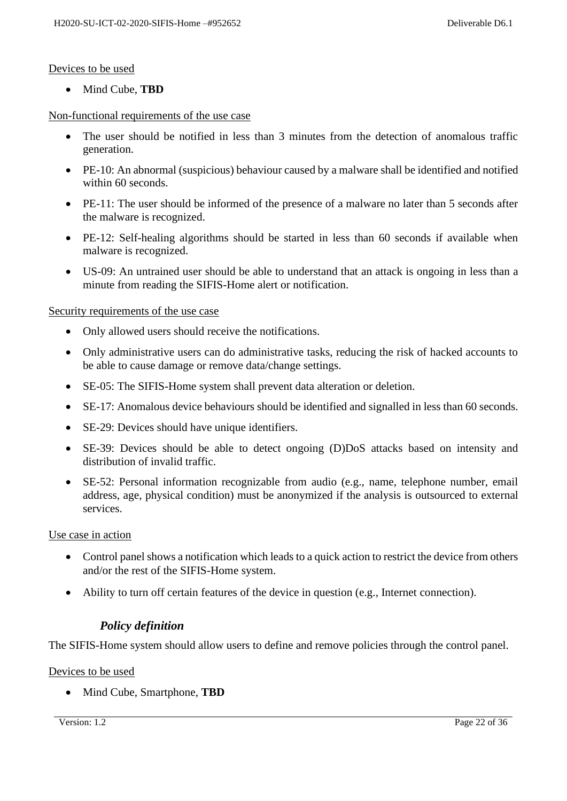#### Devices to be used

• Mind Cube, **TBD**

#### Non-functional requirements of the use case

- The user should be notified in less than 3 minutes from the detection of anomalous traffic generation.
- PE-10: An abnormal (suspicious) behaviour caused by a malware shall be identified and notified within 60 seconds.
- PE-11: The user should be informed of the presence of a malware no later than 5 seconds after the malware is recognized.
- PE-12: Self-healing algorithms should be started in less than 60 seconds if available when malware is recognized.
- US-09: An untrained user should be able to understand that an attack is ongoing in less than a minute from reading the SIFIS-Home alert or notification.

#### Security requirements of the use case

- Only allowed users should receive the notifications.
- Only administrative users can do administrative tasks, reducing the risk of hacked accounts to be able to cause damage or remove data/change settings.
- SE-05: The SIFIS-Home system shall prevent data alteration or deletion.
- SE-17: Anomalous device behaviours should be identified and signalled in less than 60 seconds.
- SE-29: Devices should have unique identifiers.
- SE-39: Devices should be able to detect ongoing (D)DoS attacks based on intensity and distribution of invalid traffic.
- SE-52: Personal information recognizable from audio (e.g., name, telephone number, email address, age, physical condition) must be anonymized if the analysis is outsourced to external services.

#### Use case in action

- Control panel shows a notification which leads to a quick action to restrict the device from others and/or the rest of the SIFIS-Home system.
- Ability to turn off certain features of the device in question (e.g., Internet connection).

#### *Policy definition*

<span id="page-21-0"></span>The SIFIS-Home system should allow users to define and remove policies through the control panel.

#### Devices to be used

• Mind Cube, Smartphone, **TBD**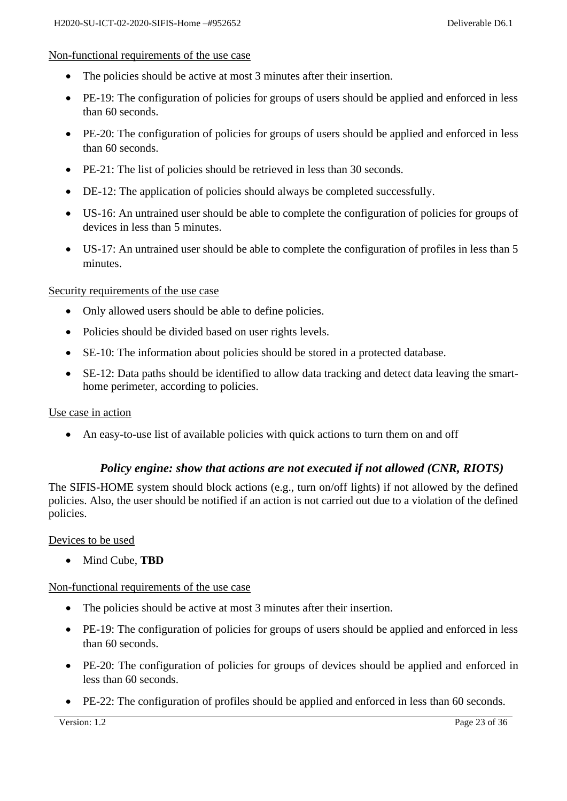#### Non-functional requirements of the use case

- The policies should be active at most 3 minutes after their insertion.
- PE-19: The configuration of policies for groups of users should be applied and enforced in less than 60 seconds.
- PE-20: The configuration of policies for groups of users should be applied and enforced in less than 60 seconds.
- PE-21: The list of policies should be retrieved in less than 30 seconds.
- DE-12: The application of policies should always be completed successfully.
- US-16: An untrained user should be able to complete the configuration of policies for groups of devices in less than 5 minutes.
- US-17: An untrained user should be able to complete the configuration of profiles in less than 5 minutes.

#### Security requirements of the use case

- Only allowed users should be able to define policies.
- Policies should be divided based on user rights levels.
- SE-10: The information about policies should be stored in a protected database.
- SE-12: Data paths should be identified to allow data tracking and detect data leaving the smarthome perimeter, according to policies.

#### Use case in action

• An easy-to-use list of available policies with quick actions to turn them on and off

#### *Policy engine: show that actions are not executed if not allowed (CNR, RIOTS)*

<span id="page-22-0"></span>The SIFIS-HOME system should block actions (e.g., turn on/off lights) if not allowed by the defined policies. Also, the user should be notified if an action is not carried out due to a violation of the defined policies.

Devices to be used

• Mind Cube, **TBD**

#### Non-functional requirements of the use case

- The policies should be active at most 3 minutes after their insertion.
- PE-19: The configuration of policies for groups of users should be applied and enforced in less than 60 seconds.
- PE-20: The configuration of policies for groups of devices should be applied and enforced in less than 60 seconds.
- PE-22: The configuration of profiles should be applied and enforced in less than 60 seconds.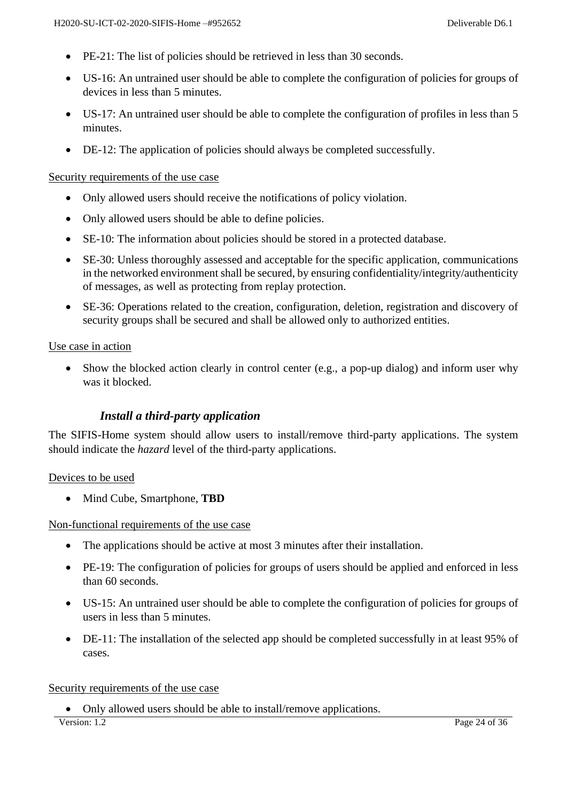- PE-21: The list of policies should be retrieved in less than 30 seconds.
- US-16: An untrained user should be able to complete the configuration of policies for groups of devices in less than 5 minutes.
- US-17: An untrained user should be able to complete the configuration of profiles in less than 5 minutes.
- DE-12: The application of policies should always be completed successfully.

#### Security requirements of the use case

- Only allowed users should receive the notifications of policy violation.
- Only allowed users should be able to define policies.
- SE-10: The information about policies should be stored in a protected database.
- SE-30: Unless thoroughly assessed and acceptable for the specific application, communications in the networked environment shall be secured, by ensuring confidentiality/integrity/authenticity of messages, as well as protecting from replay protection.
- SE-36: Operations related to the creation, configuration, deletion, registration and discovery of security groups shall be secured and shall be allowed only to authorized entities.

#### Use case in action

• Show the blocked action clearly in control center (e.g., a pop-up dialog) and inform user why was it blocked.

#### *Install a third-party application*

<span id="page-23-0"></span>The SIFIS-Home system should allow users to install/remove third-party applications. The system should indicate the *hazard* level of the third-party applications.

#### Devices to be used

• Mind Cube, Smartphone, **TBD**

Non-functional requirements of the use case

- The applications should be active at most 3 minutes after their installation.
- PE-19: The configuration of policies for groups of users should be applied and enforced in less than 60 seconds.
- US-15: An untrained user should be able to complete the configuration of policies for groups of users in less than 5 minutes.
- DE-11: The installation of the selected app should be completed successfully in at least 95% of cases.

#### Security requirements of the use case

• Only allowed users should be able to install/remove applications.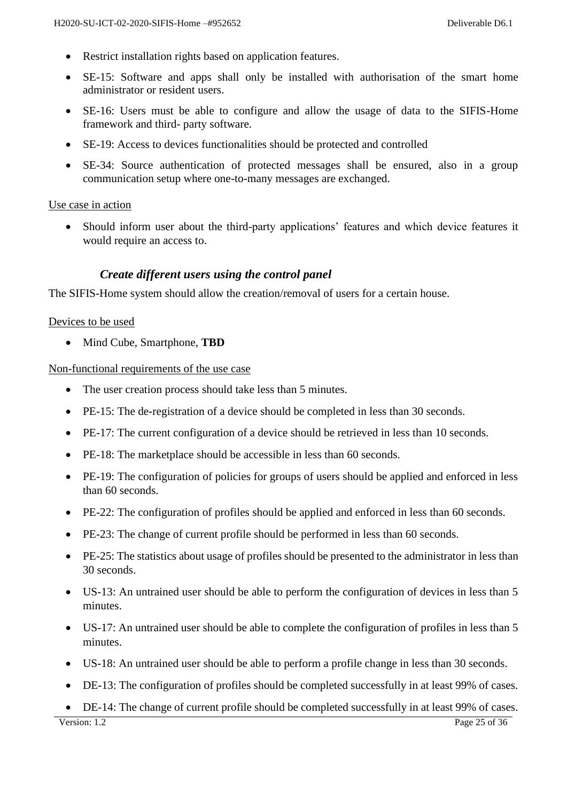- Restrict installation rights based on application features.
- SE-15: Software and apps shall only be installed with authorisation of the smart home administrator or resident users.
- SE-16: Users must be able to configure and allow the usage of data to the SIFIS-Home framework and third- party software.
- SE-19: Access to devices functionalities should be protected and controlled
- SE-34: Source authentication of protected messages shall be ensured, also in a group communication setup where one-to-many messages are exchanged.

#### Use case in action

• Should inform user about the third-party applications' features and which device features it would require an access to.

#### *Create different users using the control panel*

<span id="page-24-0"></span>The SIFIS-Home system should allow the creation/removal of users for a certain house.

#### Devices to be used

• Mind Cube, Smartphone, **TBD**

Non-functional requirements of the use case

- The user creation process should take less than 5 minutes.
- PE-15: The de-registration of a device should be completed in less than 30 seconds.
- PE-17: The current configuration of a device should be retrieved in less than 10 seconds.
- PE-18: The marketplace should be accessible in less than 60 seconds.
- PE-19: The configuration of policies for groups of users should be applied and enforced in less than 60 seconds.
- PE-22: The configuration of profiles should be applied and enforced in less than 60 seconds.
- PE-23: The change of current profile should be performed in less than 60 seconds.
- PE-25: The statistics about usage of profiles should be presented to the administrator in less than 30 seconds.
- US-13: An untrained user should be able to perform the configuration of devices in less than 5 minutes.
- US-17: An untrained user should be able to complete the configuration of profiles in less than 5 minutes.
- US-18: An untrained user should be able to perform a profile change in less than 30 seconds.
- DE-13: The configuration of profiles should be completed successfully in at least 99% of cases.
- DE-14: The change of current profile should be completed successfully in at least 99% of cases.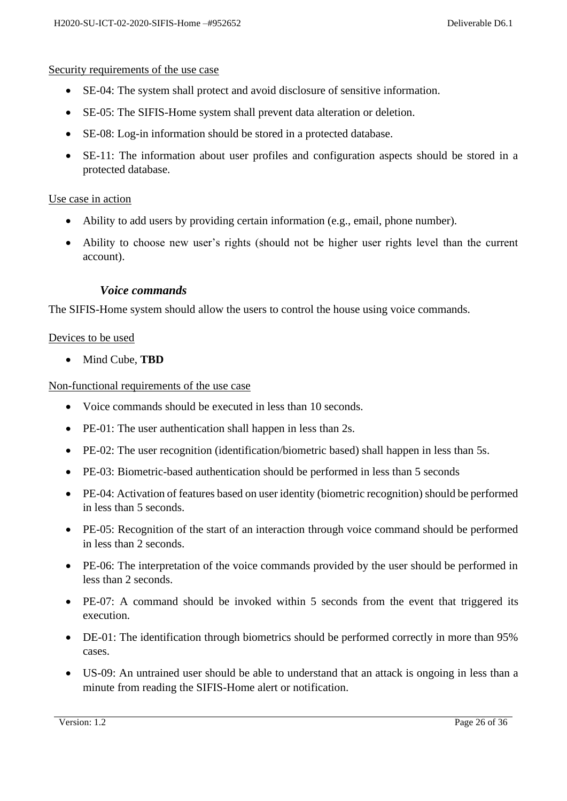#### Security requirements of the use case

- SE-04: The system shall protect and avoid disclosure of sensitive information.
- SE-05: The SIFIS-Home system shall prevent data alteration or deletion.
- SE-08: Log-in information should be stored in a protected database.
- SE-11: The information about user profiles and configuration aspects should be stored in a protected database.

#### Use case in action

- Ability to add users by providing certain information (e.g., email, phone number).
- Ability to choose new user's rights (should not be higher user rights level than the current account).

#### *Voice commands*

<span id="page-25-0"></span>The SIFIS-Home system should allow the users to control the house using voice commands.

#### Devices to be used

• Mind Cube, **TBD**

Non-functional requirements of the use case

- Voice commands should be executed in less than 10 seconds.
- PE-01: The user authentication shall happen in less than 2s.
- PE-02: The user recognition (identification/biometric based) shall happen in less than 5s.
- PE-03: Biometric-based authentication should be performed in less than 5 seconds
- PE-04: Activation of features based on user identity (biometric recognition) should be performed in less than 5 seconds.
- PE-05: Recognition of the start of an interaction through voice command should be performed in less than 2 seconds.
- PE-06: The interpretation of the voice commands provided by the user should be performed in less than 2 seconds.
- PE-07: A command should be invoked within 5 seconds from the event that triggered its execution.
- DE-01: The identification through biometrics should be performed correctly in more than 95% cases.
- US-09: An untrained user should be able to understand that an attack is ongoing in less than a minute from reading the SIFIS-Home alert or notification.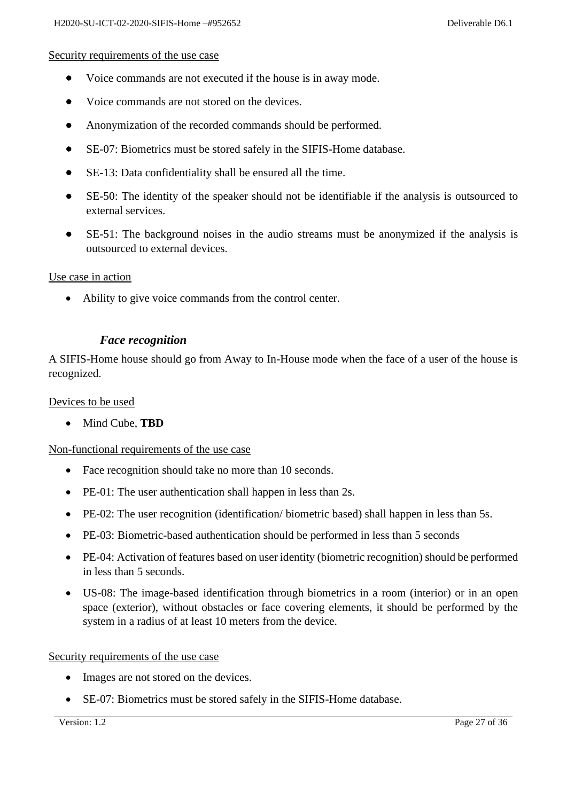#### Security requirements of the use case

- Voice commands are not executed if the house is in away mode.
- Voice commands are not stored on the devices.
- Anonymization of the recorded commands should be performed.
- SE-07: Biometrics must be stored safely in the SIFIS-Home database.
- SE-13: Data confidentiality shall be ensured all the time.
- SE-50: The identity of the speaker should not be identifiable if the analysis is outsourced to external services.
- SE-51: The background noises in the audio streams must be anonymized if the analysis is outsourced to external devices.

#### Use case in action

• Ability to give voice commands from the control center.

#### *Face recognition*

<span id="page-26-0"></span>A SIFIS-Home house should go from Away to In-House mode when the face of a user of the house is recognized.

#### Devices to be used

• Mind Cube, **TBD**

Non-functional requirements of the use case

- Face recognition should take no more than 10 seconds.
- PE-01: The user authentication shall happen in less than 2s.
- PE-02: The user recognition (identification/biometric based) shall happen in less than 5s.
- PE-03: Biometric-based authentication should be performed in less than 5 seconds
- PE-04: Activation of features based on user identity (biometric recognition) should be performed in less than 5 seconds.
- US-08: The image-based identification through biometrics in a room (interior) or in an open space (exterior), without obstacles or face covering elements, it should be performed by the system in a radius of at least 10 meters from the device.

#### Security requirements of the use case

- Images are not stored on the devices.
- SE-07: Biometrics must be stored safely in the SIFIS-Home database.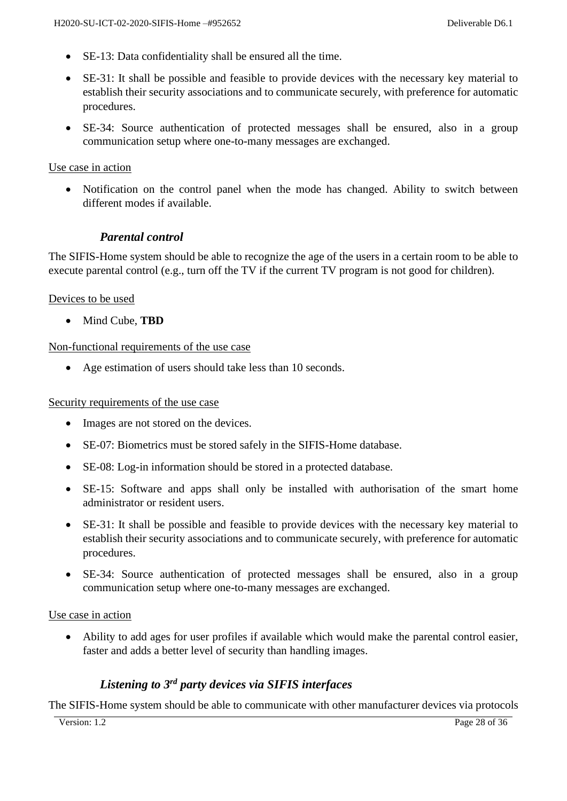- SE-13: Data confidentiality shall be ensured all the time.
- SE-31: It shall be possible and feasible to provide devices with the necessary key material to establish their security associations and to communicate securely, with preference for automatic procedures.
- SE-34: Source authentication of protected messages shall be ensured, also in a group communication setup where one-to-many messages are exchanged.

#### Use case in action

• Notification on the control panel when the mode has changed. Ability to switch between different modes if available.

#### *Parental control*

<span id="page-27-0"></span>The SIFIS-Home system should be able to recognize the age of the users in a certain room to be able to execute parental control (e.g., turn off the TV if the current TV program is not good for children).

#### Devices to be used

• Mind Cube, **TBD**

#### Non-functional requirements of the use case

• Age estimation of users should take less than 10 seconds.

#### Security requirements of the use case

- Images are not stored on the devices.
- SE-07: Biometrics must be stored safely in the SIFIS-Home database.
- SE-08: Log-in information should be stored in a protected database.
- SE-15: Software and apps shall only be installed with authorisation of the smart home administrator or resident users.
- SE-31: It shall be possible and feasible to provide devices with the necessary key material to establish their security associations and to communicate securely, with preference for automatic procedures.
- SE-34: Source authentication of protected messages shall be ensured, also in a group communication setup where one-to-many messages are exchanged.

#### Use case in action

• Ability to add ages for user profiles if available which would make the parental control easier, faster and adds a better level of security than handling images.

#### *Listening to 3rd party devices via SIFIS interfaces*

<span id="page-27-1"></span>The SIFIS-Home system should be able to communicate with other manufacturer devices via protocols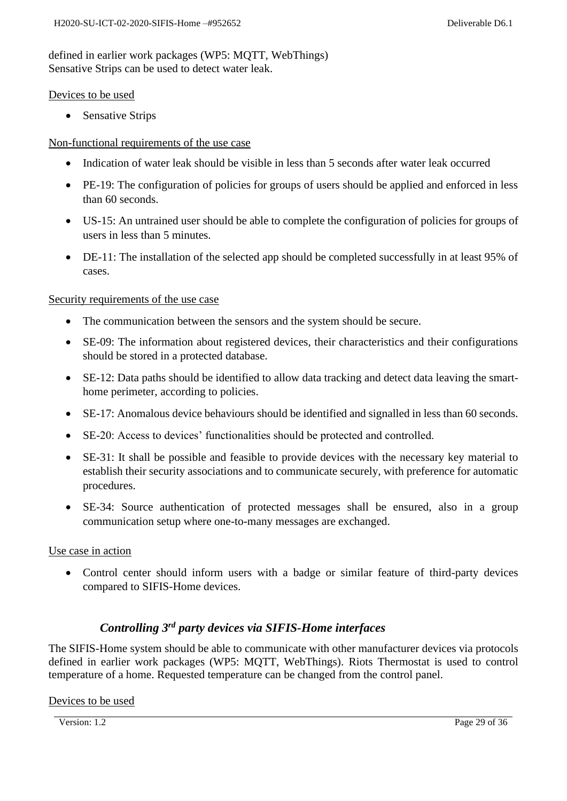defined in earlier work packages (WP5: MQTT, WebThings) Sensative Strips can be used to detect water leak.

#### Devices to be used

• Sensative Strips

#### Non-functional requirements of the use case

- Indication of water leak should be visible in less than 5 seconds after water leak occurred
- PE-19: The configuration of policies for groups of users should be applied and enforced in less than 60 seconds.
- US-15: An untrained user should be able to complete the configuration of policies for groups of users in less than 5 minutes.
- DE-11: The installation of the selected app should be completed successfully in at least 95% of cases.

#### Security requirements of the use case

- The communication between the sensors and the system should be secure.
- SE-09: The information about registered devices, their characteristics and their configurations should be stored in a protected database.
- SE-12: Data paths should be identified to allow data tracking and detect data leaving the smarthome perimeter, according to policies.
- SE-17: Anomalous device behaviours should be identified and signalled in less than 60 seconds.
- SE-20: Access to devices' functionalities should be protected and controlled.
- SE-31: It shall be possible and feasible to provide devices with the necessary key material to establish their security associations and to communicate securely, with preference for automatic procedures.
- SE-34: Source authentication of protected messages shall be ensured, also in a group communication setup where one-to-many messages are exchanged.

#### Use case in action

• Control center should inform users with a badge or similar feature of third-party devices compared to SIFIS-Home devices.

## *Controlling 3rd party devices via SIFIS-Home interfaces*

<span id="page-28-0"></span>The SIFIS-Home system should be able to communicate with other manufacturer devices via protocols defined in earlier work packages (WP5: MQTT, WebThings). Riots Thermostat is used to control temperature of a home. Requested temperature can be changed from the control panel.

#### Devices to be used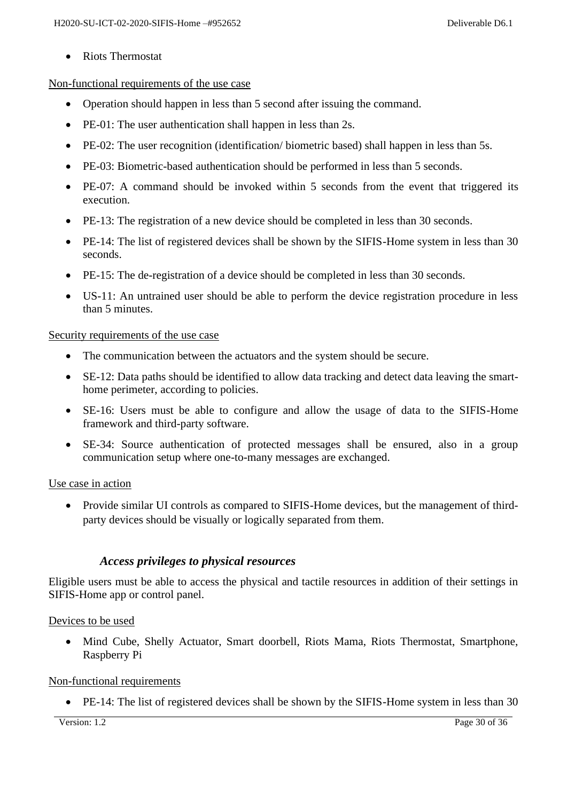• Riots Thermostat

#### Non-functional requirements of the use case

- Operation should happen in less than 5 second after issuing the command.
- PE-01: The user authentication shall happen in less than 2s.
- PE-02: The user recognition (identification/biometric based) shall happen in less than 5s.
- PE-03: Biometric-based authentication should be performed in less than 5 seconds.
- PE-07: A command should be invoked within 5 seconds from the event that triggered its execution.
- PE-13: The registration of a new device should be completed in less than 30 seconds.
- PE-14: The list of registered devices shall be shown by the SIFIS-Home system in less than 30 seconds.
- PE-15: The de-registration of a device should be completed in less than 30 seconds.
- US-11: An untrained user should be able to perform the device registration procedure in less than 5 minutes.

#### Security requirements of the use case

- The communication between the actuators and the system should be secure.
- SE-12: Data paths should be identified to allow data tracking and detect data leaving the smarthome perimeter, according to policies.
- SE-16: Users must be able to configure and allow the usage of data to the SIFIS-Home framework and third-party software.
- SE-34: Source authentication of protected messages shall be ensured, also in a group communication setup where one-to-many messages are exchanged.

#### Use case in action

• Provide similar UI controls as compared to SIFIS-Home devices, but the management of thirdparty devices should be visually or logically separated from them.

#### *Access privileges to physical resources*

<span id="page-29-0"></span>Eligible users must be able to access the physical and tactile resources in addition of their settings in SIFIS-Home app or control panel.

#### Devices to be used

• Mind Cube, Shelly Actuator, Smart doorbell, Riots Mama, Riots Thermostat, Smartphone, Raspberry Pi

#### Non-functional requirements

• PE-14: The list of registered devices shall be shown by the SIFIS-Home system in less than 30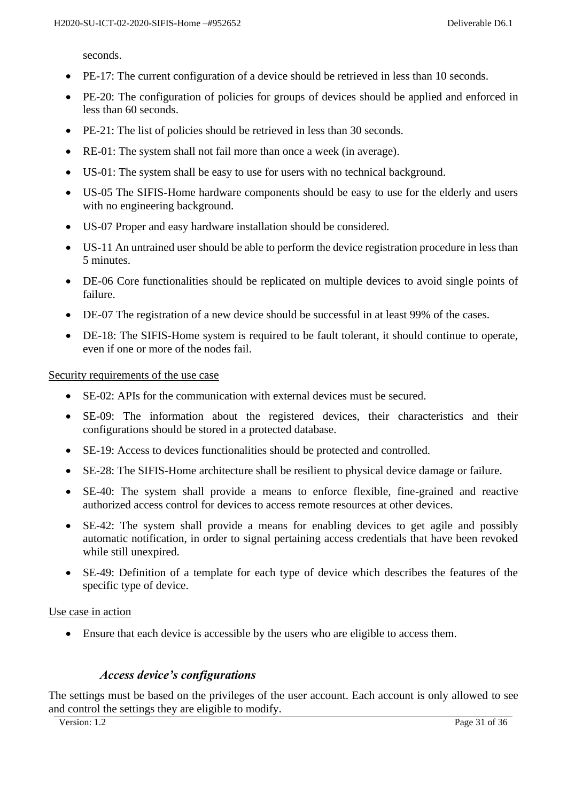seconds.

- PE-17: The current configuration of a device should be retrieved in less than 10 seconds.
- PE-20: The configuration of policies for groups of devices should be applied and enforced in less than 60 seconds.
- PE-21: The list of policies should be retrieved in less than 30 seconds.
- RE-01: The system shall not fail more than once a week (in average).
- US-01: The system shall be easy to use for users with no technical background.
- US-05 The SIFIS-Home hardware components should be easy to use for the elderly and users with no engineering background.
- US-07 Proper and easy hardware installation should be considered.
- US-11 An untrained user should be able to perform the device registration procedure in less than 5 minutes.
- DE-06 Core functionalities should be replicated on multiple devices to avoid single points of failure.
- DE-07 The registration of a new device should be successful in at least 99% of the cases.
- DE-18: The SIFIS-Home system is required to be fault tolerant, it should continue to operate, even if one or more of the nodes fail.

Security requirements of the use case

- SE-02: APIs for the communication with external devices must be secured.
- SE-09: The information about the registered devices, their characteristics and their configurations should be stored in a protected database.
- SE-19: Access to devices functionalities should be protected and controlled.
- SE-28: The SIFIS-Home architecture shall be resilient to physical device damage or failure.
- SE-40: The system shall provide a means to enforce flexible, fine-grained and reactive authorized access control for devices to access remote resources at other devices.
- SE-42: The system shall provide a means for enabling devices to get agile and possibly automatic notification, in order to signal pertaining access credentials that have been revoked while still unexpired.
- SE-49: Definition of a template for each type of device which describes the features of the specific type of device.

#### Use case in action

• Ensure that each device is accessible by the users who are eligible to access them.

#### *Access device's configurations*

<span id="page-30-0"></span>The settings must be based on the privileges of the user account. Each account is only allowed to see and control the settings they are eligible to modify.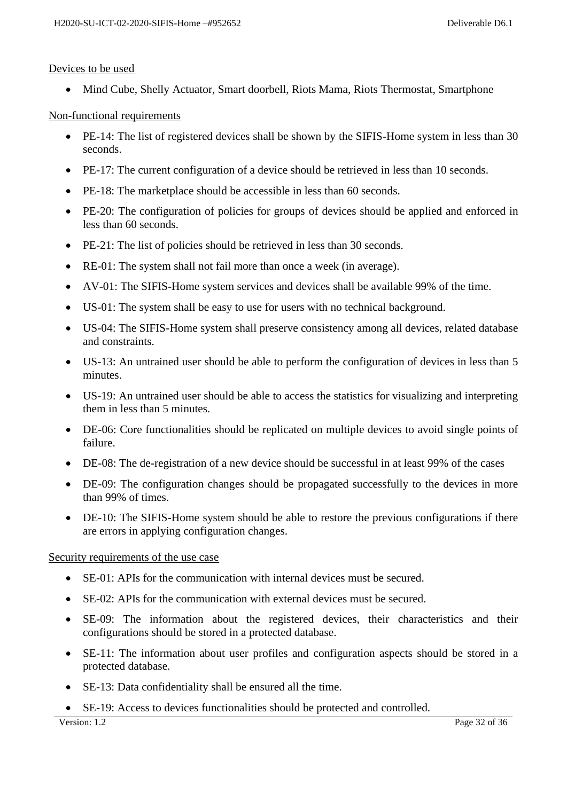#### Devices to be used

• Mind Cube, Shelly Actuator, Smart doorbell, Riots Mama, Riots Thermostat, Smartphone

Non-functional requirements

- PE-14: The list of registered devices shall be shown by the SIFIS-Home system in less than 30 seconds.
- PE-17: The current configuration of a device should be retrieved in less than 10 seconds.
- PE-18: The marketplace should be accessible in less than 60 seconds.
- PE-20: The configuration of policies for groups of devices should be applied and enforced in less than 60 seconds.
- PE-21: The list of policies should be retrieved in less than 30 seconds.
- RE-01: The system shall not fail more than once a week (in average).
- AV-01: The SIFIS-Home system services and devices shall be available 99% of the time.
- US-01: The system shall be easy to use for users with no technical background.
- US-04: The SIFIS-Home system shall preserve consistency among all devices, related database and constraints.
- US-13: An untrained user should be able to perform the configuration of devices in less than 5 minutes.
- US-19: An untrained user should be able to access the statistics for visualizing and interpreting them in less than 5 minutes.
- DE-06: Core functionalities should be replicated on multiple devices to avoid single points of failure.
- DE-08: The de-registration of a new device should be successful in at least 99% of the cases
- DE-09: The configuration changes should be propagated successfully to the devices in more than 99% of times.
- DE-10: The SIFIS-Home system should be able to restore the previous configurations if there are errors in applying configuration changes.

Security requirements of the use case

- SE-01: APIs for the communication with internal devices must be secured.
- SE-02: APIs for the communication with external devices must be secured.
- SE-09: The information about the registered devices, their characteristics and their configurations should be stored in a protected database.
- SE-11: The information about user profiles and configuration aspects should be stored in a protected database.
- SE-13: Data confidentiality shall be ensured all the time.
- SE-19: Access to devices functionalities should be protected and controlled.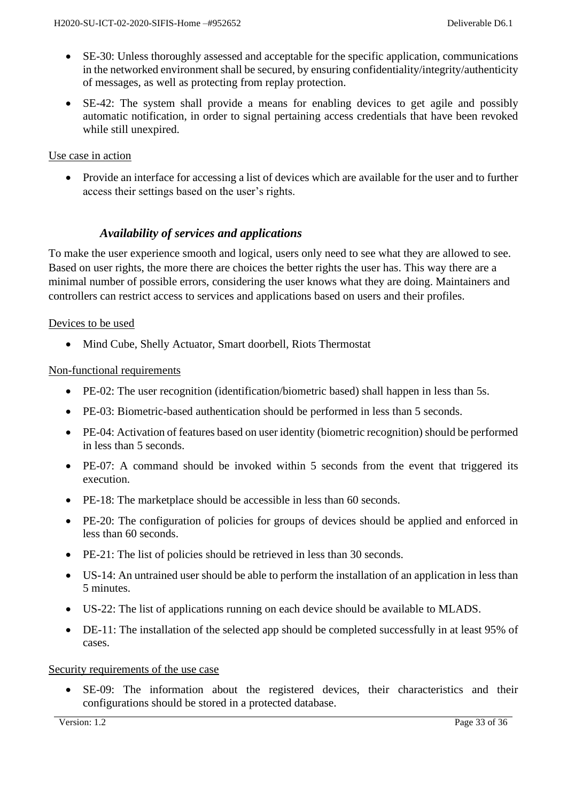- SE-30: Unless thoroughly assessed and acceptable for the specific application, communications in the networked environment shall be secured, by ensuring confidentiality/integrity/authenticity of messages, as well as protecting from replay protection.
- SE-42: The system shall provide a means for enabling devices to get agile and possibly automatic notification, in order to signal pertaining access credentials that have been revoked while still unexpired.

#### Use case in action

• Provide an interface for accessing a list of devices which are available for the user and to further access their settings based on the user's rights.

## *Availability of services and applications*

<span id="page-32-0"></span>To make the user experience smooth and logical, users only need to see what they are allowed to see. Based on user rights, the more there are choices the better rights the user has. This way there are a minimal number of possible errors, considering the user knows what they are doing. Maintainers and controllers can restrict access to services and applications based on users and their profiles.

#### Devices to be used

• Mind Cube, Shelly Actuator, Smart doorbell, Riots Thermostat

#### Non-functional requirements

- PE-02: The user recognition (identification/biometric based) shall happen in less than 5s.
- PE-03: Biometric-based authentication should be performed in less than 5 seconds.
- PE-04: Activation of features based on user identity (biometric recognition) should be performed in less than 5 seconds.
- PE-07: A command should be invoked within 5 seconds from the event that triggered its execution.
- PE-18: The marketplace should be accessible in less than 60 seconds.
- PE-20: The configuration of policies for groups of devices should be applied and enforced in less than 60 seconds.
- PE-21: The list of policies should be retrieved in less than 30 seconds.
- US-14: An untrained user should be able to perform the installation of an application in less than 5 minutes.
- US-22: The list of applications running on each device should be available to MLADS.
- DE-11: The installation of the selected app should be completed successfully in at least 95% of cases.

#### Security requirements of the use case

• SE-09: The information about the registered devices, their characteristics and their configurations should be stored in a protected database.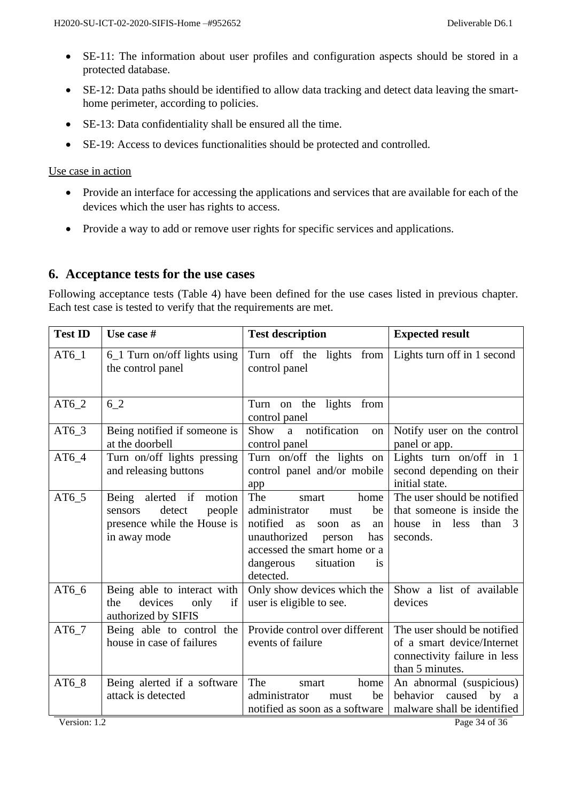- SE-11: The information about user profiles and configuration aspects should be stored in a protected database.
- SE-12: Data paths should be identified to allow data tracking and detect data leaving the smarthome perimeter, according to policies.
- SE-13: Data confidentiality shall be ensured all the time.
- SE-19: Access to devices functionalities should be protected and controlled.

#### Use case in action

- Provide an interface for accessing the applications and services that are available for each of the devices which the user has rights to access.
- Provide a way to add or remove user rights for specific services and applications.

## <span id="page-33-0"></span>**6. Acceptance tests for the use cases**

Following acceptance tests (Table 4) have been defined for the use cases listed in previous chapter. Each test case is tested to verify that the requirements are met.

| <b>Test ID</b> | Use case #                                                                                               | <b>Test description</b>                                                                                                                                                                                 | <b>Expected result</b>                                                                                       |
|----------------|----------------------------------------------------------------------------------------------------------|---------------------------------------------------------------------------------------------------------------------------------------------------------------------------------------------------------|--------------------------------------------------------------------------------------------------------------|
| $AT6_1$        | $6_1$ Turn on/off lights using<br>the control panel                                                      | Turn off the lights from   Lights turn off in 1 second<br>control panel                                                                                                                                 |                                                                                                              |
| $AT6_2$        | 62                                                                                                       | Turn on the lights from<br>control panel                                                                                                                                                                |                                                                                                              |
| $AT6_3$        | Being notified if someone is<br>at the doorbell                                                          | notification<br>Show<br>a<br>on<br>control panel                                                                                                                                                        | Notify user on the control<br>panel or app.                                                                  |
| $AT6_4$        | Turn on/off lights pressing<br>and releasing buttons                                                     | Turn on/off the lights on<br>control panel and/or mobile<br>app                                                                                                                                         | Lights turn on/off in 1<br>second depending on their<br>initial state.                                       |
| $AT6_5$        | Being alerted if<br>motion<br>detect<br>people<br>sensors<br>presence while the House is<br>in away mode | The<br>home<br>smart<br>be<br>administrator<br>must<br>notified<br>as<br>soon<br>as<br>an<br>unauthorized<br>has<br>person<br>accessed the smart home or a<br>situation<br>dangerous<br>is<br>detected. | The user should be notified<br>that someone is inside the<br>less<br>than<br>house<br>in<br>- 3<br>seconds.  |
| $AT6_6$        | Being able to interact with<br>devices<br>if<br>the<br>only<br>authorized by SIFIS                       | Only show devices which the<br>user is eligible to see.                                                                                                                                                 | Show a list of available<br>devices                                                                          |
| $AT6_7$        | Being able to control the<br>house in case of failures                                                   | Provide control over different<br>events of failure                                                                                                                                                     | The user should be notified<br>of a smart device/Internet<br>connectivity failure in less<br>than 5 minutes. |
| $AT6_8$        | Being alerted if a software<br>attack is detected                                                        | The<br>home<br>smart<br>administrator<br>be<br>must<br>notified as soon as a software                                                                                                                   | An abnormal (suspicious)<br>behavior<br>caused<br>by<br><sub>a</sub><br>malware shall be identified          |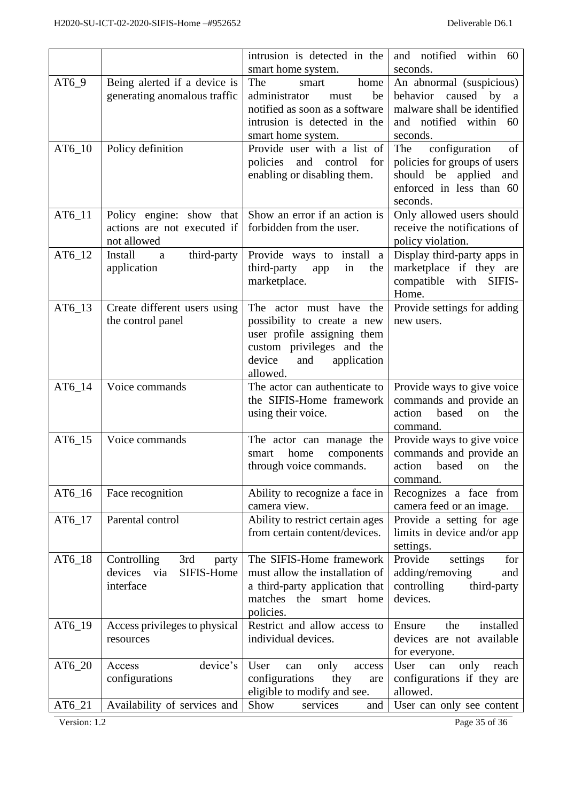|          |                                                                          | intrusion is detected in the                                                                                                                                   | and notified within 60                                                                                                         |
|----------|--------------------------------------------------------------------------|----------------------------------------------------------------------------------------------------------------------------------------------------------------|--------------------------------------------------------------------------------------------------------------------------------|
|          |                                                                          | smart home system.                                                                                                                                             | seconds.                                                                                                                       |
| $AT6_9$  | Being alerted if a device is<br>generating anomalous traffic             | The<br>home<br>smart<br>administrator<br>be<br>must<br>notified as soon as a software<br>intrusion is detected in the<br>smart home system.                    | An abnormal (suspicious)<br>caused by a<br>behavior<br>malware shall be identified<br>and notified within 60<br>seconds.       |
| AT6_10   | Policy definition                                                        | Provide user with a list of<br>policies<br>and<br>control<br>for<br>enabling or disabling them.                                                                | configuration<br>The<br>of<br>policies for groups of users<br>should be applied<br>and<br>enforced in less than 60<br>seconds. |
| AT6_11   | Policy engine: show that<br>actions are not executed if<br>not allowed   | Show an error if an action is<br>forbidden from the user.                                                                                                      | Only allowed users should<br>receive the notifications of<br>policy violation.                                                 |
| $AT6_12$ | Install<br>third-party<br>a<br>application                               | Provide ways to install a<br>third-party<br>in<br>the<br>app<br>marketplace.                                                                                   | Display third-party apps in<br>marketplace if they are<br>compatible with SIFIS-<br>Home.                                      |
| AT6_13   | Create different users using<br>the control panel                        | The actor must have the<br>possibility to create a new<br>user profile assigning them<br>custom privileges and the<br>device<br>and<br>application<br>allowed. | Provide settings for adding<br>new users.                                                                                      |
| AT6_14   | Voice commands                                                           | The actor can authenticate to<br>the SIFIS-Home framework<br>using their voice.                                                                                | Provide ways to give voice<br>commands and provide an<br>action<br>based<br>the<br>on<br>command.                              |
| AT6_15   | Voice commands                                                           | The actor can manage the<br>home<br>components<br>smart<br>through voice commands.                                                                             | Provide ways to give voice<br>commands and provide an<br>action<br>based<br>the<br>on<br>command.                              |
| AT6_16   | Face recognition                                                         | Ability to recognize a face in<br>camera view.                                                                                                                 | Recognizes a face from<br>camera feed or an image.                                                                             |
| AT6_17   | Parental control                                                         | Ability to restrict certain ages<br>from certain content/devices.                                                                                              | Provide a setting for age<br>limits in device and/or app<br>settings.                                                          |
| AT6_18   | 3rd<br>Controlling<br>party<br>devices<br>SIFIS-Home<br>via<br>interface | The SIFIS-Home framework<br>must allow the installation of<br>a third-party application that<br>matches the<br>smart home<br>policies.                         | Provide<br>settings<br>for<br>adding/removing<br>and<br>controlling<br>third-party<br>devices.                                 |
| AT6_19   | Access privileges to physical<br>resources                               | Restrict and allow access to<br>individual devices.                                                                                                            | installed<br>Ensure<br>the<br>devices are not available<br>for everyone.                                                       |
| $AT6_20$ | device's<br>Access<br>configurations                                     | User<br>only<br>can<br>access<br>configurations<br>they<br>are<br>eligible to modify and see.                                                                  | User<br>only<br>can<br>reach<br>configurations if they are<br>allowed.                                                         |
| AT6_21   | Availability of services and                                             | Show<br>services<br>and                                                                                                                                        | User can only see content                                                                                                      |

Version: 1.2 Page 35 of 36